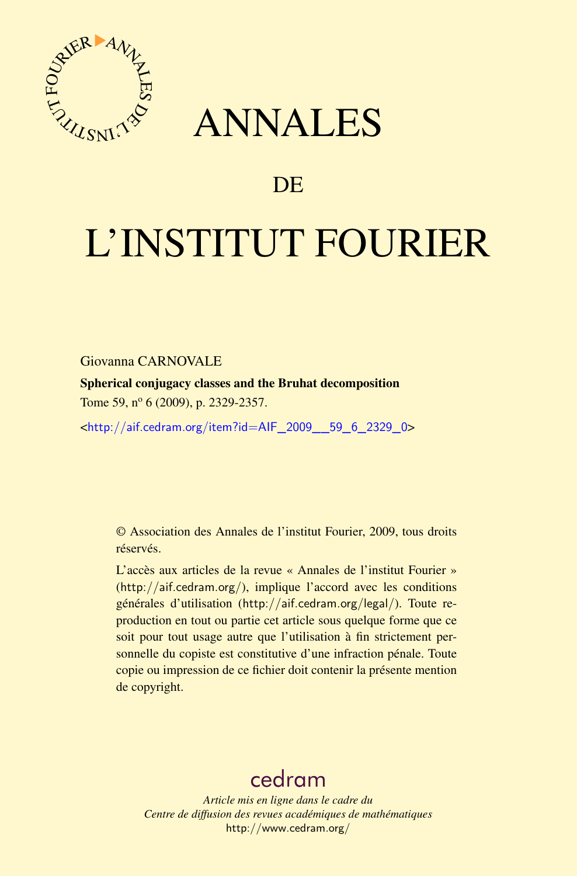

## ANNALES

## **DE**

# L'INSTITUT FOURIER

Giovanna CARNOVALE

Spherical conjugacy classes and the Bruhat decomposition Tome 59, nº 6 (2009), p. 2329-2357.

<[http://aif.cedram.org/item?id=AIF\\_2009\\_\\_59\\_6\\_2329\\_0](http://aif.cedram.org/item?id=AIF_2009__59_6_2329_0)>

© Association des Annales de l'institut Fourier, 2009, tous droits réservés.

L'accès aux articles de la revue « Annales de l'institut Fourier » (<http://aif.cedram.org/>), implique l'accord avec les conditions générales d'utilisation (<http://aif.cedram.org/legal/>). Toute reproduction en tout ou partie cet article sous quelque forme que ce soit pour tout usage autre que l'utilisation à fin strictement personnelle du copiste est constitutive d'une infraction pénale. Toute copie ou impression de ce fichier doit contenir la présente mention de copyright.

## [cedram](http://www.cedram.org/)

*Article mis en ligne dans le cadre du Centre de diffusion des revues académiques de mathématiques* <http://www.cedram.org/>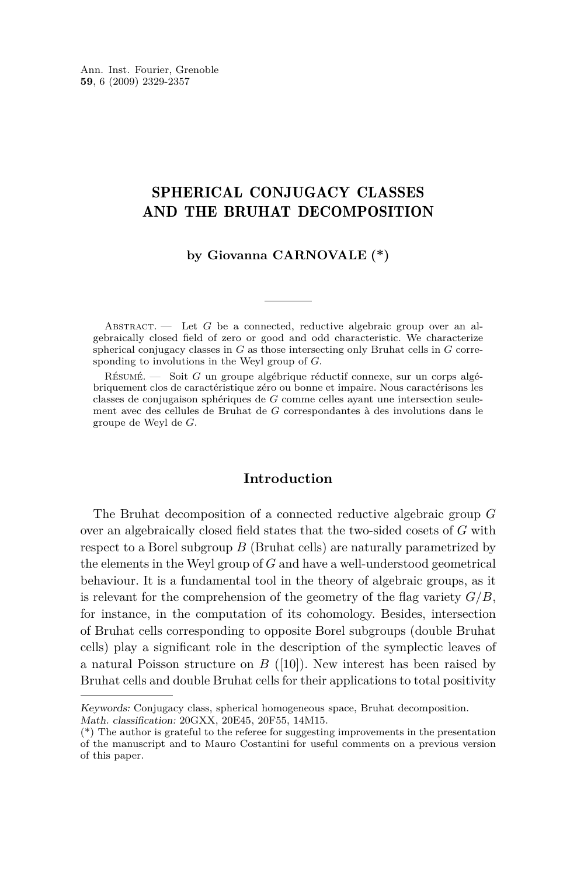Ann. Inst. Fourier, Grenoble **59**, 6 (2009) 2329-2357

#### SPHERICAL CONJUGACY CLASSES AND THE BRUHAT DECOMPOSITION

#### **by Giovanna CARNOVALE (\*)**

ABSTRACT. — Let G be a connected, reductive algebraic group over an algebraically closed field of zero or good and odd characteristic. We characterize spherical conjugacy classes in *G* as those intersecting only Bruhat cells in *G* corresponding to involutions in the Weyl group of *G*.

Résumé. — Soit *G* un groupe algébrique réductif connexe, sur un corps algébriquement clos de caractéristique zéro ou bonne et impaire. Nous caractérisons les classes de conjugaison sphériques de *G* comme celles ayant une intersection seulement avec des cellules de Bruhat de *G* correspondantes à des involutions dans le groupe de Weyl de *G*.

#### **Introduction**

The Bruhat decomposition of a connected reductive algebraic group *G* over an algebraically closed field states that the two-sided cosets of *G* with respect to a Borel subgroup *B* (Bruhat cells) are naturally parametrized by the elements in the Weyl group of *G* and have a well-understood geometrical behaviour. It is a fundamental tool in the theory of algebraic groups, as it is relevant for the comprehension of the geometry of the flag variety  $G/B$ , for instance, in the computation of its cohomology. Besides, intersection of Bruhat cells corresponding to opposite Borel subgroups (double Bruhat cells) play a significant role in the description of the symplectic leaves of a natural Poisson structure on *B* ([\[10\]](#page-28-0)). New interest has been raised by Bruhat cells and double Bruhat cells for their applications to total positivity

Keywords: Conjugacy class, spherical homogeneous space, Bruhat decomposition. Math. classification: 20GXX, 20E45, 20F55, 14M15.

<sup>(\*)</sup> The author is grateful to the referee for suggesting improvements in the presentation of the manuscript and to Mauro Costantini for useful comments on a previous version of this paper.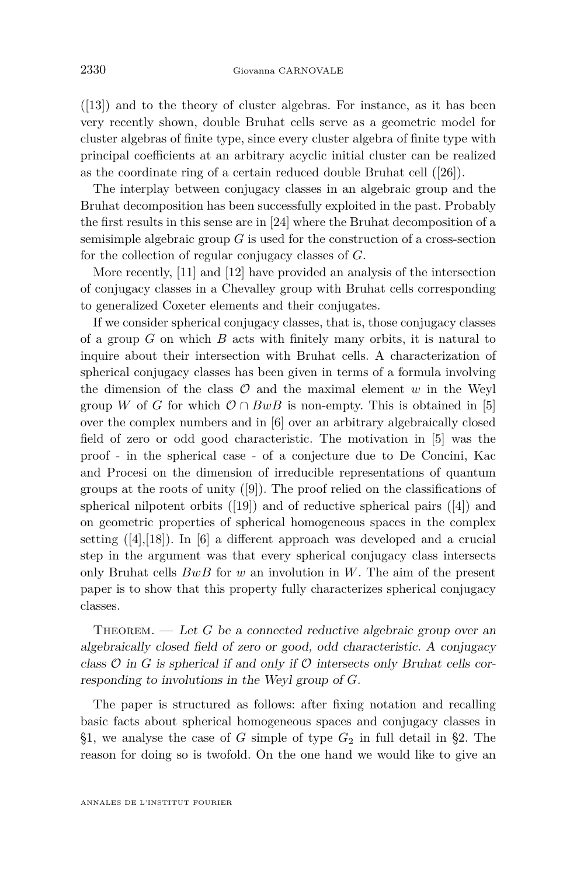$([13])$  $([13])$  $([13])$  and to the theory of cluster algebras. For instance, as it has been very recently shown, double Bruhat cells serve as a geometric model for cluster algebras of finite type, since every cluster algebra of finite type with principal coefficients at an arbitrary acyclic initial cluster can be realized as the coordinate ring of a certain reduced double Bruhat cell ([\[26\]](#page-29-0)).

The interplay between conjugacy classes in an algebraic group and the Bruhat decomposition has been successfully exploited in the past. Probably the first results in this sense are in [\[24\]](#page-29-0) where the Bruhat decomposition of a semisimple algebraic group *G* is used for the construction of a cross-section for the collection of regular conjugacy classes of *G*.

More recently, [\[11\]](#page-28-0) and [\[12\]](#page-28-0) have provided an analysis of the intersection of conjugacy classes in a Chevalley group with Bruhat cells corresponding to generalized Coxeter elements and their conjugates.

If we consider spherical conjugacy classes, that is, those conjugacy classes of a group *G* on which *B* acts with finitely many orbits, it is natural to inquire about their intersection with Bruhat cells. A characterization of spherical conjugacy classes has been given in terms of a formula involving the dimension of the class  $\mathcal O$  and the maximal element  $w$  in the Weyl group *W* of *G* for which  $\mathcal{O} \cap BwB$  is non-empty. This is obtained in [\[5\]](#page-28-0) over the complex numbers and in [\[6\]](#page-28-0) over an arbitrary algebraically closed field of zero or odd good characteristic. The motivation in [\[5\]](#page-28-0) was the proof - in the spherical case - of a conjecture due to De Concini, Kac and Procesi on the dimension of irreducible representations of quantum groups at the roots of unity ([\[9\]](#page-28-0)). The proof relied on the classifications of spherical nilpotent orbits ([\[19\]](#page-28-0)) and of reductive spherical pairs ([\[4\]](#page-28-0)) and on geometric properties of spherical homogeneous spaces in the complex setting  $([4],[18])$  $([4],[18])$  $([4],[18])$  $([4],[18])$  $([4],[18])$ . In [\[6\]](#page-28-0) a different approach was developed and a crucial step in the argument was that every spherical conjugacy class intersects only Bruhat cells *BwB* for *w* an involution in *W*. The aim of the present paper is to show that this property fully characterizes spherical conjugacy classes.

THEOREM.  $\qquad$  Let *G* be a connected reductive algebraic group over an algebraically closed field of zero or good, odd characteristic. A conjugacy class  $\mathcal O$  in  $G$  is spherical if and only if  $\mathcal O$  intersects only Bruhat cells corresponding to involutions in the Weyl group of *G*.

The paper is structured as follows: after fixing notation and recalling basic facts about spherical homogeneous spaces and conjugacy classes in [§1,](#page-3-0) we analyse the case of  $G$  simple of type  $G_2$  in full detail in [§2.](#page-5-0) The reason for doing so is twofold. On the one hand we would like to give an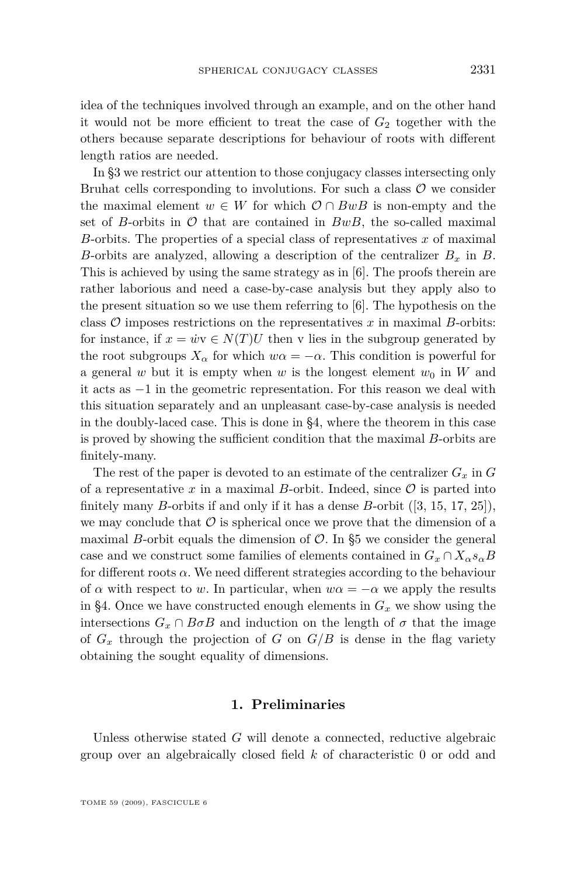<span id="page-3-0"></span>idea of the techniques involved through an example, and on the other hand it would not be more efficient to treat the case of  $G_2$  together with the others because separate descriptions for behaviour of roots with different length ratios are needed.

In [§3](#page-8-0) we restrict our attention to those conjugacy classes intersecting only Bruhat cells corresponding to involutions. For such a class *O* we consider the maximal element  $w \in W$  for which  $\mathcal{O} \cap BwB$  is non-empty and the set of *B*-orbits in  $\mathcal O$  that are contained in  $BwB$ , the so-called maximal *B*-orbits. The properties of a special class of representatives *x* of maximal *B*-orbits are analyzed, allowing a description of the centralizer *B<sup>x</sup>* in *B*. This is achieved by using the same strategy as in [\[6\]](#page-28-0). The proofs therein are rather laborious and need a case-by-case analysis but they apply also to the present situation so we use them referring to [\[6\]](#page-28-0). The hypothesis on the class *O* imposes restrictions on the representatives *x* in maximal *B*-orbits: for instance, if  $x = \dot{w}v \in N(T)U$  then v lies in the subgroup generated by the root subgroups  $X_\alpha$  for which  $w\alpha = -\alpha$ . This condition is powerful for a general *w* but it is empty when *w* is the longest element  $w_0$  in *W* and it acts as *−*1 in the geometric representation. For this reason we deal with this situation separately and an unpleasant case-by-case analysis is needed in the doubly-laced case. This is done in [§4,](#page-11-0) where the theorem in this case is proved by showing the sufficient condition that the maximal *B*-orbits are finitely-many.

The rest of the paper is devoted to an estimate of the centralizer  $G_x$  in  $G$ of a representative  $x$  in a maximal  $B$ -orbit. Indeed, since  $\mathcal O$  is parted into finitely many *B*-orbits if and only if it has a dense *B*-orbit ([\[3,](#page-28-0) [15,](#page-28-0) [17,](#page-28-0) [25\]](#page-29-0)), we may conclude that  $\mathcal O$  is spherical once we prove that the dimension of a maximal *B*-orbit equals the dimension of  $\mathcal{O}$ . In [§5](#page-20-0) we consider the general case and we construct some families of elements contained in  $G_x \cap X_\alpha s_\alpha B$ for different roots  $\alpha$ . We need different strategies according to the behaviour of  $\alpha$  with respect to *w*. In particular, when  $w\alpha = -\alpha$  we apply the results in [§4.](#page-11-0) Once we have constructed enough elements in  $G_x$  we show using the intersections  $G_x \cap B \sigma B$  and induction on the length of  $\sigma$  that the image of  $G_x$  through the projection of *G* on  $G/B$  is dense in the flag variety obtaining the sought equality of dimensions.

#### **1. Preliminaries**

Unless otherwise stated *G* will denote a connected, reductive algebraic group over an algebraically closed field *k* of characteristic 0 or odd and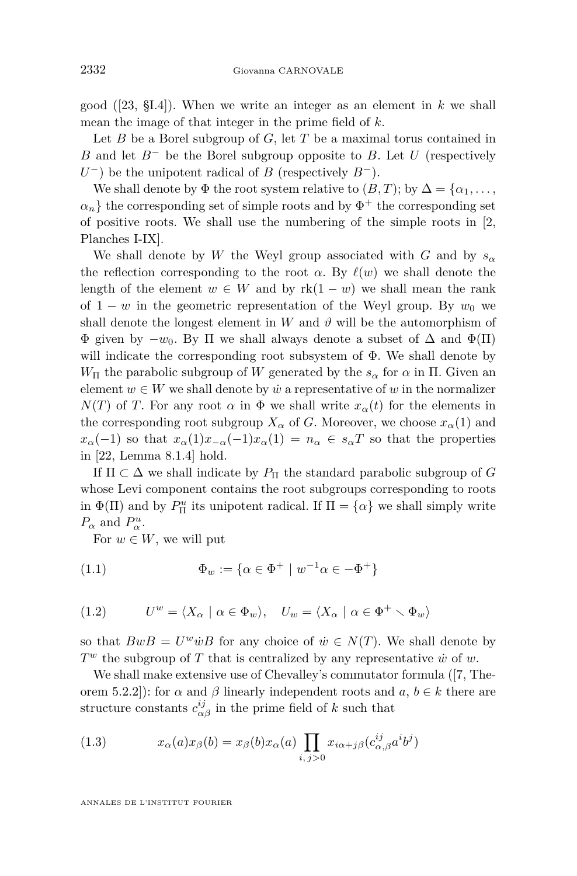good ([\[23,](#page-28-0) §I.4]). When we write an integer as an element in *k* we shall mean the image of that integer in the prime field of *k*.

Let *B* be a Borel subgroup of *G*, let *T* be a maximal torus contained in *B* and let *B<sup>−</sup>* be the Borel subgroup opposite to *B*. Let *U* (respectively *U*<sup>−</sup>) be the unipotent radical of *B* (respectively *B*<sup>−</sup>).

We shall denote by  $\Phi$  the root system relative to  $(B, T)$ ; by  $\Delta = {\alpha_1, \ldots, \alpha_n}$  $\alpha_n$ } the corresponding set of simple roots and by  $\Phi^+$  the corresponding set of positive roots. We shall use the numbering of the simple roots in [\[2,](#page-28-0) Planches I-IX].

We shall denote by *W* the Weyl group associated with *G* and by  $s_\alpha$ the reflection corresponding to the root  $\alpha$ . By  $\ell(w)$  we shall denote the length of the element  $w \in W$  and by  $rk(1-w)$  we shall mean the rank of 1 − *w* in the geometric representation of the Weyl group. By  $w_0$  we shall denote the longest element in *W* and  $\vartheta$  will be the automorphism of Φ given by *−w*0. By Π we shall always denote a subset of ∆ and Φ(Π) will indicate the corresponding root subsystem of Φ. We shall denote by *W*<sub>Π</sub> the parabolic subgroup of *W* generated by the  $s_\alpha$  for  $\alpha$  in Π. Given an element  $w \in W$  we shall denote by  $\dot{w}$  a representative of  $w$  in the normalizer *N*(*T*) of *T*. For any root  $\alpha$  in  $\Phi$  we shall write  $x_{\alpha}(t)$  for the elements in the corresponding root subgroup  $X_\alpha$  of *G*. Moreover, we choose  $x_\alpha(1)$  and  $x_{\alpha}(-1)$  so that  $x_{\alpha}(1)x_{-\alpha}(-1)x_{\alpha}(1) = n_{\alpha} \in s_{\alpha}T$  so that the properties in [\[22,](#page-28-0) Lemma 8.1.4] hold.

If  $\Pi \subset \Delta$  we shall indicate by  $P_{\Pi}$  the standard parabolic subgroup of *G* whose Levi component contains the root subgroups corresponding to roots in  $\Phi(\Pi)$  and by  $P_{\Pi}^u$  its unipotent radical. If  $\Pi = {\alpha}$  we shall simply write  $P_{\alpha}$  and  $P_{\alpha}^{u}$ .

For  $w \in W$ , we will put

(1.1) 
$$
\Phi_w := \{ \alpha \in \Phi^+ \mid w^{-1} \alpha \in -\Phi^+ \}
$$

(1.2) 
$$
U^w = \langle X_\alpha \mid \alpha \in \Phi_w \rangle, \quad U_w = \langle X_\alpha \mid \alpha \in \Phi^+ \smallsetminus \Phi_w \rangle
$$

so that  $BwB = U^w \dot{w}B$  for any choice of  $\dot{w} \in N(T)$ . We shall denote by *T <sup>w</sup>* the subgroup of *T* that is centralized by any representative *w*˙ of *w*.

We shall make extensive use of Chevalley's commutator formula ([\[7,](#page-28-0) Theorem 5.2.2]): for  $\alpha$  and  $\beta$  linearly independent roots and  $a, b \in k$  there are structure constants  $c_{\alpha\beta}^{ij}$  in the prime field of *k* such that

(1.3) 
$$
x_{\alpha}(a)x_{\beta}(b) = x_{\beta}(b)x_{\alpha}(a) \prod_{i,j>0} x_{i\alpha+j\beta}(c_{\alpha,\beta}^{ij}a^{i}b^{j})
$$

ANNALES DE L'INSTITUT FOURIER

<span id="page-4-0"></span>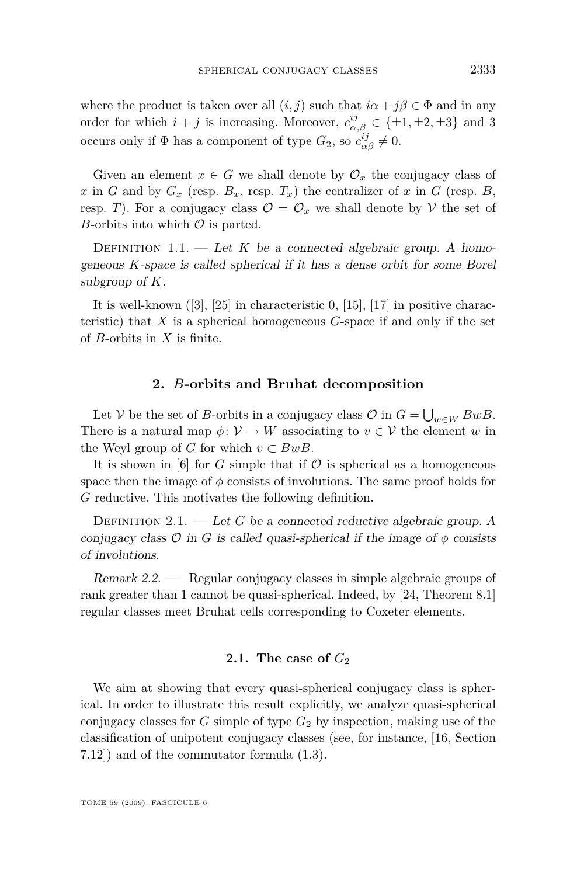<span id="page-5-0"></span>where the product is taken over all  $(i, j)$  such that  $i\alpha + j\beta \in \Phi$  and in any order for which  $i + j$  is increasing. Moreover,  $c_{\alpha,\beta}^{ij} \in {\pm 1, \pm 2, \pm 3}$  and 3 occurs only if  $\Phi$  has a component of type  $G_2$ , so  $c_{\alpha\beta}^{ij} \neq 0$ .

Given an element  $x \in G$  we shall denote by  $\mathcal{O}_x$  the conjugacy class of *x* in *G* and by  $G_x$  (resp.  $B_x$ , resp.  $T_x$ ) the centralizer of *x* in *G* (resp. *B*, resp. *T*). For a conjugacy class  $\mathcal{O} = \mathcal{O}_x$  we shall denote by *V* the set of *B*-orbits into which *O* is parted.

DEFINITION  $1.1.$  — Let *K* be a connected algebraic group. A homogeneous *K*-space is called spherical if it has a dense orbit for some Borel subgroup of *K*.

It is well-known ([\[3\]](#page-28-0), [\[25\]](#page-29-0) in characteristic 0, [\[15\]](#page-28-0), [\[17\]](#page-28-0) in positive characteristic) that *X* is a spherical homogeneous *G*-space if and only if the set of *B*-orbits in *X* is finite.

#### **2.** *B***-orbits and Bruhat decomposition**

Let *V* be the set of *B*-orbits in a conjugacy class  $\mathcal{O}$  in  $G = \bigcup_{w \in W} BwB$ . There is a natural map  $\phi: V \to W$  associating to  $v \in V$  the element *w* in the Weyl group of *G* for which  $v \subset BwB$ .

It is shown in [\[6\]](#page-28-0) for *G* simple that if  $\mathcal O$  is spherical as a homogeneous space then the image of  $\phi$  consists of involutions. The same proof holds for *G* reductive. This motivates the following definition.

DEFINITION  $2.1.$  — Let *G* be a connected reductive algebraic group. A conjugacy class  $\mathcal O$  in *G* is called quasi-spherical if the image of  $\phi$  consists of involutions.

Remark 2.2. — Regular conjugacy classes in simple algebraic groups of rank greater than 1 cannot be quasi-spherical. Indeed, by [\[24,](#page-29-0) Theorem 8.1] regular classes meet Bruhat cells corresponding to Coxeter elements.

#### **2.1.** The case of  $G_2$

We aim at showing that every quasi-spherical conjugacy class is spherical. In order to illustrate this result explicitly, we analyze quasi-spherical conjugacy classes for *G* simple of type *G*<sup>2</sup> by inspection, making use of the classification of unipotent conjugacy classes (see, for instance, [\[16,](#page-28-0) Section 7.12]) and of the commutator formula [\(1.3\)](#page-4-0).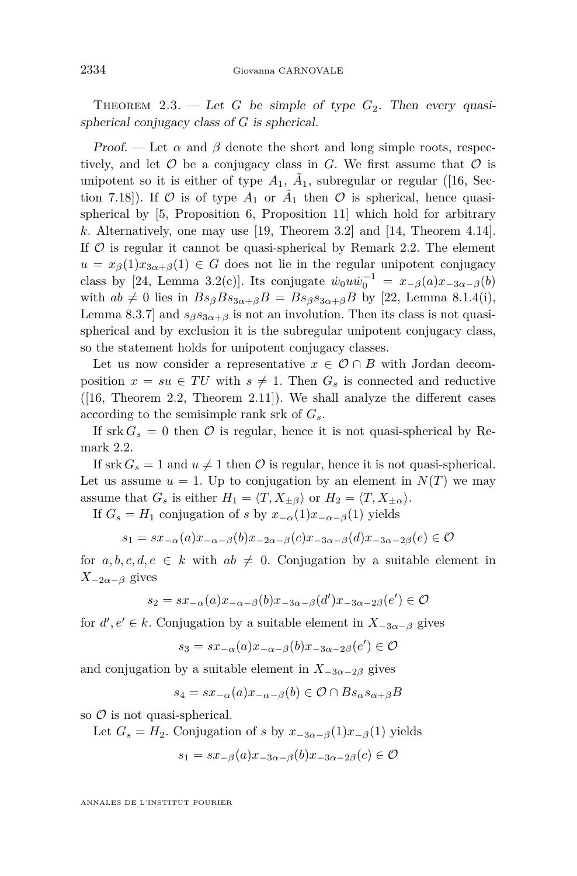THEOREM 2.3. — Let *G* be simple of type  $G_2$ . Then every quasispherical conjugacy class of *G* is spherical.

Proof. — Let  $\alpha$  and  $\beta$  denote the short and long simple roots, respectively, and let  $O$  be a conjugacy class in  $G$ . We first assume that  $O$  is unipotent so it is either of type  $A_1$ ,  $\tilde{A}_1$ , subregular or regular ([\[16,](#page-28-0) Section 7.18]). If  $\mathcal O$  is of type  $A_1$  or  $\tilde A_1$  then  $\mathcal O$  is spherical, hence quasispherical by [\[5,](#page-28-0) Proposition 6, Proposition 11] which hold for arbitrary *k*. Alternatively, one may use [\[19,](#page-28-0) Theorem 3.2] and [\[14,](#page-28-0) Theorem 4.14]. If  $\mathcal O$  is regular it cannot be quasi-spherical by Remark [2.2.](#page-5-0) The element  $u = x_{\beta}(1)x_{3\alpha+\beta}(1) \in G$  does not lie in the regular unipotent conjugacy class by [\[24,](#page-29-0) Lemma 3.2(c)]. Its conjugate  $\dot{w}_0 u \dot{w}_0^{-1} = x_{-\beta}(a) x_{-3\alpha-\beta}(b)$ with  $ab \neq 0$  lies in  $Bs_{\beta}Bs_{3\alpha+\beta}B = Bs_{\beta}s_{3\alpha+\beta}B$  by [\[22,](#page-28-0) Lemma 8.1.4(i), Lemma 8.3.7] and  $s_{\beta}s_{3\alpha+\beta}$  is not an involution. Then its class is not quasispherical and by exclusion it is the subregular unipotent conjugacy class, so the statement holds for unipotent conjugacy classes.

Let us now consider a representative  $x \in \mathcal{O} \cap B$  with Jordan decomposition  $x = su \in TU$  with  $s \neq 1$ . Then  $G_s$  is connected and reductive  $([16, Theorem 2.2, Theorem 2.11]).$  $([16, Theorem 2.2, Theorem 2.11]).$  $([16, Theorem 2.2, Theorem 2.11]).$  We shall analyze the different cases according to the semisimple rank srk of *Gs*.

If srk  $G_s = 0$  then  $\mathcal O$  is regular, hence it is not quasi-spherical by Remark [2.2.](#page-5-0)

If srk  $G_s = 1$  and  $u \neq 1$  then  $\mathcal O$  is regular, hence it is not quasi-spherical. Let us assume  $u = 1$ . Up to conjugation by an element in  $N(T)$  we may assume that  $G_s$  is either  $H_1 = \langle T, X_{\pm \beta} \rangle$  or  $H_2 = \langle T, X_{\pm \alpha} \rangle$ .

If  $G_s = H_1$  conjugation of *s* by  $x_{-\alpha}(1)x_{-\alpha-\beta}(1)$  yields

$$
s_1 = sx_{-\alpha}(a)x_{-\alpha-\beta}(b)x_{-2\alpha-\beta}(c)x_{-3\alpha-\beta}(d)x_{-3\alpha-2\beta}(e) \in \mathcal{O}
$$

for  $a, b, c, d, e \in k$  with  $ab \neq 0$ . Conjugation by a suitable element in  $X_{-2\alpha-\beta}$  gives

$$
s_2 = sx_{-\alpha}(a)x_{-\alpha-\beta}(b)x_{-3\alpha-\beta}(d')x_{-3\alpha-2\beta}(e') \in \mathcal{O}
$$

for  $d'$ ,  $e' \in k$ . Conjugation by a suitable element in  $X_{-3\alpha-\beta}$  gives

$$
s_3 = sx_{-\alpha}(a)x_{-\alpha-\beta}(b)x_{-3\alpha-2\beta}(e') \in \mathcal{O}
$$

and conjugation by a suitable element in  $X_{-3\alpha-2\beta}$  gives

$$
s_4 = sx_{-\alpha}(a)x_{-\alpha-\beta}(b) \in \mathcal{O} \cap Bs_{\alpha}s_{\alpha+\beta}B
$$

so *O* is not quasi-spherical.

Let  $G_s = H_2$ . Conjugation of *s* by  $x_{-3\alpha-\beta}(1)x_{-\beta}(1)$  yields

$$
s_1 = sx_{-\beta}(a)x_{-3\alpha-\beta}(b)x_{-3\alpha-2\beta}(c) \in \mathcal{O}
$$

ANNALES DE L'INSTITUT FOURIER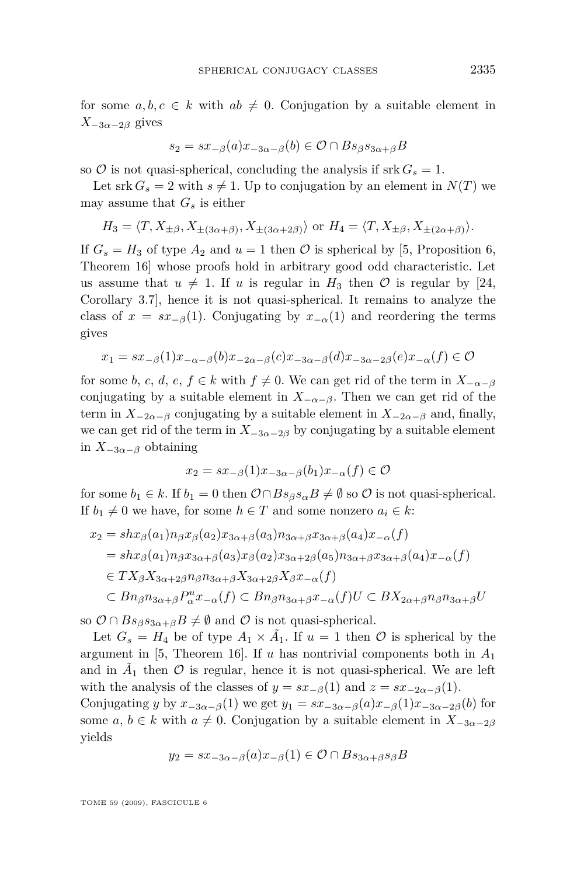for some  $a, b, c \in k$  with  $ab \neq 0$ . Conjugation by a suitable element in  $X$ <sup>−3*α*−2*β* gives</sup>

$$
s_2 = sx_{-\beta}(a)x_{-3\alpha-\beta}(b) \in \mathcal{O} \cap Bs_{\beta}s_{3\alpha+\beta}B
$$

so  $\mathcal O$  is not quasi-spherical, concluding the analysis if srk  $G_s = 1$ .

Let srk  $G_s = 2$  with  $s \neq 1$ . Up to conjugation by an element in  $N(T)$  we may assume that  $G_s$  is either

$$
H_3 = \langle T, X_{\pm \beta}, X_{\pm (3\alpha+\beta)}, X_{\pm (3\alpha+2\beta)} \rangle
$$
 or 
$$
H_4 = \langle T, X_{\pm \beta}, X_{\pm (2\alpha+\beta)} \rangle.
$$

If  $G_s = H_3$  of type  $A_2$  and  $u = 1$  then  $\mathcal O$  is spherical by [\[5,](#page-28-0) Proposition 6, Theorem 16] whose proofs hold in arbitrary good odd characteristic. Let us assume that  $u \neq 1$ . If *u* is regular in  $H_3$  then  $\mathcal O$  is regular by [\[24,](#page-29-0) Corollary 3.7], hence it is not quasi-spherical. It remains to analyze the class of  $x = sx<sub>−β</sub>(1)$ . Conjugating by  $x<sub>−α</sub>(1)$  and reordering the terms gives

$$
x_1 = sx_{-\beta}(1)x_{-\alpha-\beta}(b)x_{-2\alpha-\beta}(c)x_{-3\alpha-\beta}(d)x_{-3\alpha-2\beta}(e)x_{-\alpha}(f) \in \mathcal{O}
$$

for some *b*, *c*, *d*, *e*, *f*  $\in$  *k* with *f*  $\neq$  0. We can get rid of the term in  $X_{-\alpha-\beta}$ conjugating by a suitable element in  $X_{-\alpha-\beta}$ . Then we can get rid of the term in  $X_{-2\alpha-\beta}$  conjugating by a suitable element in  $X_{-2\alpha-\beta}$  and, finally, we can get rid of the term in  $X_{-3\alpha-2\beta}$  by conjugating by a suitable element in  $X_{-3\alpha-\beta}$  obtaining

$$
x_2 = sx_{-\beta}(1)x_{-3\alpha-\beta}(b_1)x_{-\alpha}(f) \in \mathcal{O}
$$

for some  $b_1 \in k$ . If  $b_1 = 0$  then  $\mathcal{O} \cap Bs_{\beta} s_{\alpha} B \neq \emptyset$  so  $\mathcal{O}$  is not quasi-spherical. If  $b_1 \neq 0$  we have, for some  $h \in T$  and some nonzero  $a_i \in k$ :

$$
x_2 = shx_{\beta}(a_1)n_{\beta}x_{\beta}(a_2)x_{3\alpha+\beta}(a_3)n_{3\alpha+\beta}x_{3\alpha+\beta}(a_4)x_{-\alpha}(f)
$$
  
=  $shx_{\beta}(a_1)n_{\beta}x_{3\alpha+\beta}(a_3)x_{\beta}(a_2)x_{3\alpha+2\beta}(a_5)n_{3\alpha+\beta}x_{3\alpha+\beta}(a_4)x_{-\alpha}(f)$   
 $\in TX_{\beta}X_{3\alpha+2\beta}n_{\beta}n_{3\alpha+\beta}X_{3\alpha+2\beta}X_{\beta}x_{-\alpha}(f)$   
 $\subset Bn_{\beta}n_{3\alpha+\beta}P_{\alpha}^ux_{-\alpha}(f) \subset Bn_{\beta}n_{3\alpha+\beta}x_{-\alpha}(f)U \subset BX_{2\alpha+\beta}n_{\beta}n_{3\alpha+\beta}U$ 

so  $\mathcal{O} \cap Bs_{\beta}s_{3\alpha+\beta}B \neq \emptyset$  and  $\mathcal{O}$  is not quasi-spherical.

Let  $G_s = H_4$  be of type  $A_1 \times \tilde{A_1}$ . If  $u = 1$  then  $\mathcal O$  is spherical by the argument in [\[5,](#page-28-0) Theorem 16]. If *u* has nontrivial components both in *A*<sup>1</sup> and in  $\tilde{A}_1$  then  $\mathcal O$  is regular, hence it is not quasi-spherical. We are left with the analysis of the classes of  $y = sx_{\beta}(1)$  and  $z = sx_{\beta}(1)$ .

Conjugating *y* by  $x_{-3\alpha-\beta}(1)$  we get  $y_1 = sx_{-3\alpha-\beta}(a)x_{-\beta}(1)x_{-3\alpha-2\beta}(b)$  for some *a*,  $b \in k$  with  $a \neq 0$ . Conjugation by a suitable element in  $X_{-3\alpha-2\beta}$ yields

$$
y_2 = sx_{-3\alpha-\beta}(a)x_{-\beta}(1) \in \mathcal{O} \cap Bs_{3\alpha+\beta}s_{\beta}B
$$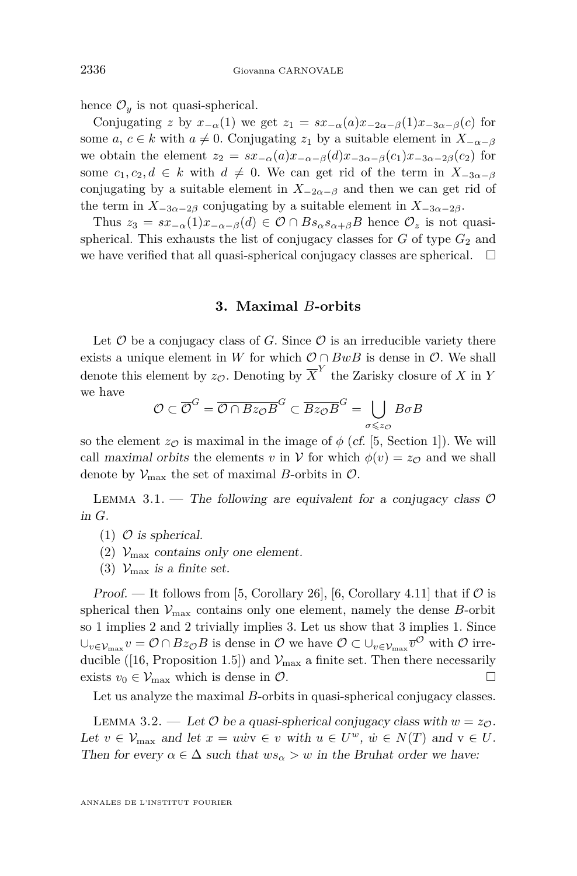<span id="page-8-0"></span>hence  $\mathcal{O}_y$  is not quasi-spherical.

Conjugating *z* by  $x_{-\alpha}(1)$  we get  $z_1 = sx_{-\alpha}(a)x_{-2\alpha-\beta}(1)x_{-3\alpha-\beta}(c)$  for some *a, c*  $\in$  *k* with *a*  $\neq$  0. Conjugating *z*<sub>1</sub> by a suitable element in  $X_{-\alpha-\beta}$ we obtain the element  $z_2 = sx_{-\alpha}(a)x_{-\alpha-\beta}(d)x_{-3\alpha-\beta}(c_1)x_{-3\alpha-2\beta}(c_2)$  for some  $c_1, c_2, d \in k$  with  $d \neq 0$ . We can get rid of the term in  $X_{-3\alpha-\beta}$ conjugating by a suitable element in  $X_{-2\alpha-\beta}$  and then we can get rid of the term in  $X_{-3\alpha-2\beta}$  conjugating by a suitable element in  $X_{-3\alpha-2\beta}$ .

Thus  $z_3 = sx_{-\alpha}(1)x_{-\alpha-\beta}(d) \in \mathcal{O} \cap Bs_{\alpha}s_{\alpha+\beta}B$  hence  $\mathcal{O}_z$  is not quasispherical. This exhausts the list of conjugacy classes for  $G$  of type  $G_2$  and we have verified that all quasi-spherical conjugacy classes are spherical.  $\Box$ 

#### **3. Maximal** *B***-orbits**

Let  $O$  be a conjugacy class of  $G$ . Since  $O$  is an irreducible variety there exists a unique element in *W* for which  $O \cap BwB$  is dense in  $O$ . We shall denote this element by  $z_{\mathcal{O}}$ . Denoting by  $\overline{X}^Y$  the Zarisky closure of X in Y we have

$$
\mathcal{O} \subset \overline{\mathcal{O}}^G = \overline{\mathcal{O} \cap Bz_{\mathcal{O}}B}^G \subset \overline{Bz_{\mathcal{O}}B}^G = \bigcup_{\sigma \leq z_{\mathcal{O}}} B\sigma B
$$

so the element  $z_{\mathcal{O}}$  is maximal in the image of  $\phi$  (cf. [\[5,](#page-28-0) Section 1]). We will call maximal orbits the elements *v* in *V* for which  $\phi(v) = z_{\mathcal{O}}$  and we shall denote by  $V_{\text{max}}$  the set of maximal *B*-orbits in  $\mathcal{O}$ .

LEMMA 3.1. — The following are equivalent for a conjugacy class  $\mathcal O$ in *G*.

- $(1)$   $\circ$  is spherical.
- (2)  $V_{\text{max}}$  contains only one element.
- (3)  $\mathcal{V}_{\text{max}}$  is a finite set.

Proof. — It follows from [\[5,](#page-28-0) Corollary 26], [\[6,](#page-28-0) Corollary 4.11] that if  $\mathcal O$  is spherical then  $V_{\text{max}}$  contains only one element, namely the dense *B*-orbit so 1 implies 2 and 2 trivially implies 3. Let us show that 3 implies 1. Since  $\cup_{v \in \mathcal{V}_{\max}} v = \mathcal{O} \cap Bz_{\mathcal{O}}B$  is dense in  $\mathcal{O}$  we have  $\mathcal{O} \subset \cup_{v \in \mathcal{V}_{\max}} \overline{v}^{\mathcal{O}}$  with  $\mathcal{O}$  irre-ducible ([\[16,](#page-28-0) Proposition 1.5]) and  $V_{\text{max}}$  a finite set. Then there necessarily exists  $v_0 \in V_{\text{max}}$  which is dense in  $\mathcal{O}$ .

Let us analyze the maximal *B*-orbits in quasi-spherical conjugacy classes.

LEMMA 3.2. — Let  $\mathcal O$  be a quasi-spherical conjugacy class with  $w = z_{\mathcal O}$ . Let  $v \in \mathcal{V}_{\text{max}}$  and let  $x = u \dot{w} v \in v$  with  $u \in U^w$ ,  $\dot{w} \in N(T)$  and  $v \in U$ . Then for every  $\alpha \in \Delta$  such that  $ws_{\alpha} > w$  in the Bruhat order we have: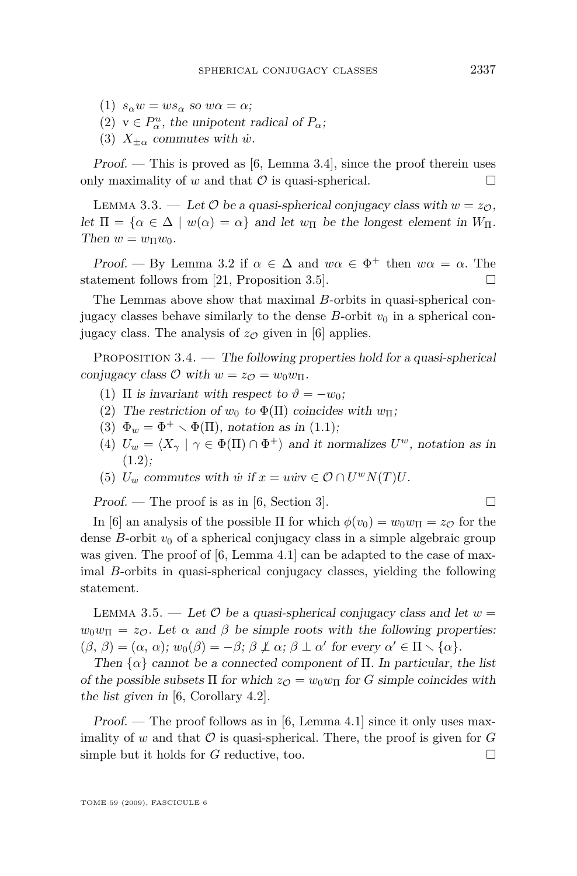- (1)  $s_\alpha w = ws_\alpha$  so  $w\alpha = \alpha$ ;
- (2)  $v \in P^u_\alpha$ , the unipotent radical of  $P_\alpha$ ;
- (3)  $X_{\pm\alpha}$  commutes with *w*<sup>i</sup>.

 $Proof.$  — This is proved as [\[6,](#page-28-0) Lemma 3.4], since the proof therein uses only maximality of *w* and that  $\mathcal O$  is quasi-spherical.

LEMMA 3.3. — Let  $\mathcal{O}$  be a quasi-spherical conjugacy class with  $w = z_{\mathcal{O}}$ . let  $\Pi = {\alpha \in \Delta \mid w(\alpha) = \alpha}$  and let  $w_{\Pi}$  be the longest element in  $W_{\Pi}$ . Then  $w = w_{\Pi}w_0$ .

Proof. — By Lemma [3.2](#page-8-0) if  $\alpha \in \Delta$  and  $w\alpha \in \Phi^+$  then  $w\alpha = \alpha$ . The statement follows from [\[21,](#page-28-0) Proposition 3.5].

The Lemmas above show that maximal *B*-orbits in quasi-spherical conjugacy classes behave similarly to the dense  $B$ -orbit  $v_0$  in a spherical conjugacy class. The analysis of  $z<sub>O</sub>$  given in [\[6\]](#page-28-0) applies.

PROPOSITION  $3.4.$  — The following properties hold for a quasi-spherical conjugacy class  $\mathcal{O}$  with  $w = z_{\mathcal{O}} = w_0 w_{\Pi}$ .

- (1)  $\Pi$  is invariant with respect to  $\vartheta = -w_0$ ;
- (2) The restriction of  $w_0$  to  $\Phi(\Pi)$  coincides with  $w_{\Pi}$ ;
- (3)  $\Phi_w = \Phi^+ \setminus \Phi(\Pi)$ , notation as in [\(1.1\)](#page-4-0);
- (4)  $U_w = \langle X_\gamma | \gamma \in \Phi(\Pi) \cap \Phi^+ \rangle$  and it normalizes  $U^w$ , notation as in  $(1.2)$ :
- (5)  $U_w$  commutes with  $\dot{w}$  if  $x = u\dot{w}v \in \mathcal{O} \cap U^wN(T)U$ .

Proof. — The proof is as in [\[6,](#page-28-0) Section 3].

In [\[6\]](#page-28-0) an analysis of the possible  $\Pi$  for which  $\phi(v_0) = w_0 w_{\Pi} = z_{\mathcal{O}}$  for the dense *B*-orbit  $v_0$  of a spherical conjugacy class in a simple algebraic group was given. The proof of [\[6,](#page-28-0) Lemma 4.1] can be adapted to the case of maximal *B*-orbits in quasi-spherical conjugacy classes, yielding the following statement.

LEMMA 3.5. — Let  $\mathcal O$  be a quasi-spherical conjugacy class and let  $w =$  $w_0w_{\Pi} = z_{\mathcal{O}}$ . Let  $\alpha$  and  $\beta$  be simple roots with the following properties:  $(\beta, \beta) = (\alpha, \alpha)$ ;  $w_0(\beta) = -\beta$ ;  $\beta \not\perp \alpha$ ;  $\beta \perp \alpha'$  for every  $\alpha' \in \Pi \setminus {\alpha}$ .

Then  $\{\alpha\}$  cannot be a connected component of  $\Pi$ . In particular, the list of the possible subsets  $\Pi$  for which  $z_{\mathcal{O}} = w_0 w_{\Pi}$  for *G* simple coincides with the list given in [\[6,](#page-28-0) Corollary 4.2].

Proof. — The proof follows as in [\[6,](#page-28-0) Lemma 4.1] since it only uses maximality of *w* and that  $\mathcal O$  is quasi-spherical. There, the proof is given for  $G$ simple but it holds for  $G$  reductive, too.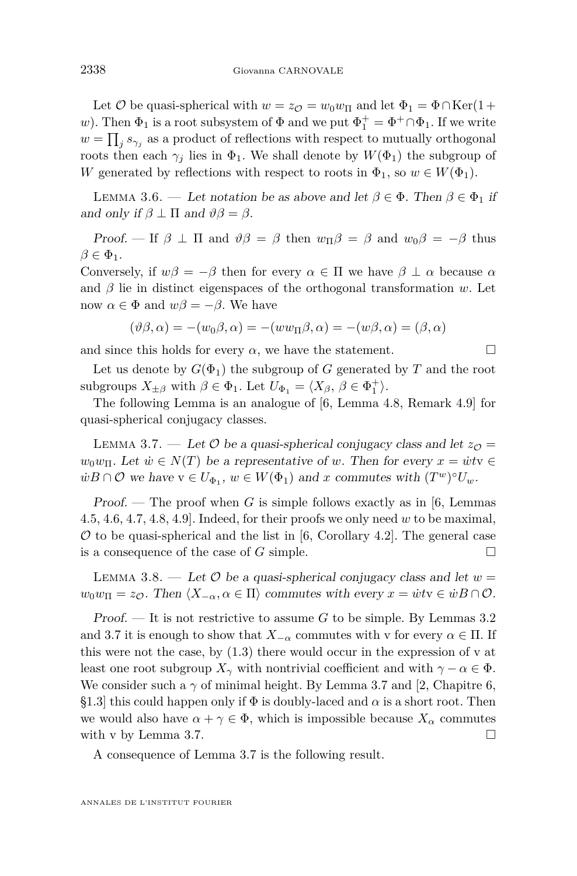<span id="page-10-0"></span>Let  $\mathcal{O}$  be quasi-spherical with  $w = z_{\mathcal{O}} = w_0 w_{\Pi}$  and let  $\Phi_1 = \Phi \cap \text{Ker}(1 + \Pi)$ *w*). Then  $\Phi_1$  is a root subsystem of  $\Phi$  and we put  $\Phi_1^+ = \Phi^+ \cap \Phi_1$ . If we write  $w = \prod_j s_{\gamma_j}$  as a product of reflections with respect to mutually orthogonal roots then each  $\gamma_j$  lies in  $\Phi_1$ . We shall denote by  $W(\Phi_1)$  the subgroup of *W* generated by reflections with respect to roots in  $\Phi_1$ , so  $w \in W(\Phi_1)$ .

LEMMA 3.6. — Let notation be as above and let  $\beta \in \Phi$ . Then  $\beta \in \Phi_1$  if and only if  $\beta \perp \Pi$  and  $\vartheta \beta = \beta$ .

Proof. — If  $\beta \perp \Pi$  and  $\vartheta \beta = \beta$  then  $w_{\Pi} \beta = \beta$  and  $w_0 \beta = -\beta$  thus  $\beta \in \Phi_1$ .

Conversely, if  $w\beta = -\beta$  then for every  $\alpha \in \Pi$  we have  $\beta \perp \alpha$  because  $\alpha$ and  $\beta$  lie in distinct eigenspaces of the orthogonal transformation *w*. Let now  $\alpha \in \Phi$  and  $w\beta = -\beta$ . We have

$$
(\vartheta \beta, \alpha) = -(w_0 \beta, \alpha) = -(ww_\Pi \beta, \alpha) = -(w \beta, \alpha) = (\beta, \alpha)
$$

and since this holds for every  $\alpha$ , we have the statement.  $\square$ 

Let us denote by  $G(\Phi_1)$  the subgroup of *G* generated by *T* and the root subgroups  $X_{\pm\beta}$  with  $\beta \in \Phi_1$ . Let  $U_{\Phi_1} = \langle X_\beta, \beta \in \Phi_1^+ \rangle$ .

The following Lemma is an analogue of [\[6,](#page-28-0) Lemma 4.8, Remark 4.9] for quasi-spherical conjugacy classes.

LEMMA 3.7. — Let  $\mathcal O$  be a quasi-spherical conjugacy class and let  $z_{\mathcal{O}} =$  $w_0w_\Pi$ . Let  $\dot{w} \in N(T)$  be a representative of *w*. Then for every  $x = \dot{w}t$   $\in$  $\dot{w}B \cap \mathcal{O}$  we have  $v \in U_{\Phi_1}, w \in W(\Phi_1)$  and *x* commutes with  $(T^w)^{\circ}U_w$ .

Proof. — The proof when *G* is simple follows exactly as in [\[6,](#page-28-0) Lemmas 4.5, 4.6, 4.7, 4.8, 4.9]. Indeed, for their proofs we only need *w* to be maximal,  $O$  to be quasi-spherical and the list in [\[6,](#page-28-0) Corollary 4.2]. The general case is a consequence of the case of *G* simple.

LEMMA 3.8. — Let  $\mathcal O$  be a quasi-spherical conjugacy class and let  $w =$  $w_0w_{\Pi} = z_{\mathcal{O}}$ . Then  $\langle X_{-\alpha}, \alpha \in \Pi \rangle$  commutes with every  $x = \dot{w}t$ v  $\in \dot{w}B \cap \mathcal{O}$ .

Proof. — It is not restrictive to assume *G* to be simple. By Lemmas [3.2](#page-8-0) and 3.7 it is enough to show that  $X_{-\alpha}$  commutes with v for every  $\alpha \in \Pi$ . If this were not the case, by  $(1.3)$  there would occur in the expression of v at least one root subgroup  $X_\gamma$  with nontrivial coefficient and with  $\gamma - \alpha \in \Phi$ . We consider such a  $\gamma$  of minimal height. By Lemma 3.7 and [\[2,](#page-28-0) Chapitre 6, §1.3] this could happen only if  $\Phi$  is doubly-laced and  $\alpha$  is a short root. Then we would also have  $\alpha + \gamma \in \Phi$ , which is impossible because  $X_{\alpha}$  commutes with v by Lemma 3.7.

A consequence of Lemma 3.7 is the following result.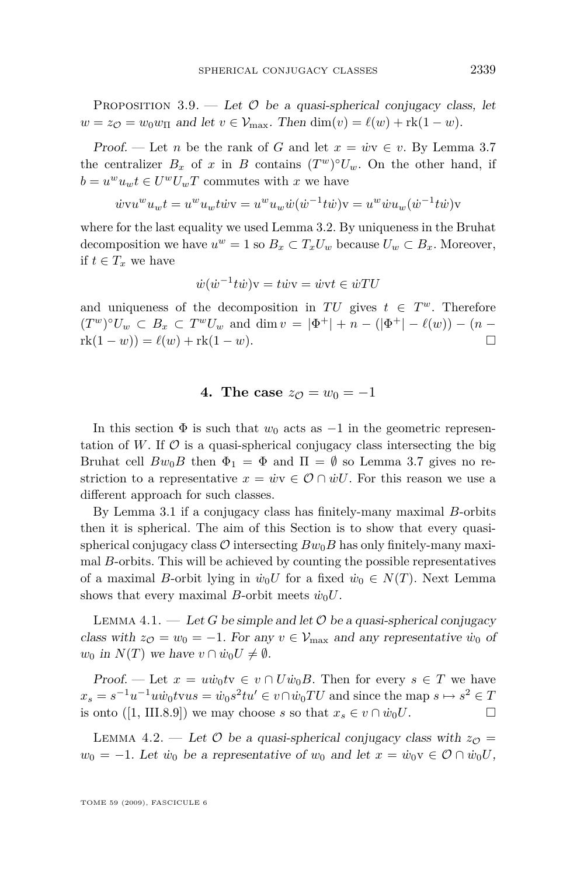<span id="page-11-0"></span>PROPOSITION 3.9. — Let  $\mathcal O$  be a quasi-spherical conjugacy class, let  $w = z_{\mathcal{O}} = w_0 w_{\Pi}$  and let  $v \in \mathcal{V}_{\text{max}}$ . Then  $\dim(v) = \ell(w) + \text{rk}(1 - w)$ .

Proof. — Let *n* be the rank of *G* and let  $x = \dot{w}v \in v$ . By Lemma [3.7](#page-10-0) the centralizer  $B_x$  of *x* in *B* contains  $(T^w)^{\circ}U_w$ . On the other hand, if  $b = u^w u_w t \in U^w U_w T$  commutes with *x* we have

$$
\dot{w}vu^w u_w t = u^w u_w t \dot{w}v = u^w u_w \dot{w} (\dot{w}^{-1} t \dot{w})v = u^w \dot{w} u_w (\dot{w}^{-1} t \dot{w})v
$$

where for the last equality we used Lemma [3.2.](#page-8-0) By uniqueness in the Bruhat decomposition we have  $u^w = 1$  so  $B_x \subset T_x U_w$  because  $U_w \subset B_x$ . Moreover, if  $t \in T_x$  we have

$$
\dot{w}(\dot{w}^{-1}t\dot{w})\mathbf{v} = t\dot{w}\mathbf{v} = \dot{w}\mathbf{v}t \in \dot{w}TU
$$

and uniqueness of the decomposition in  $TU$  gives  $t \in T^w$ . Therefore  $(T^w)^{\circ}U_w \subset B_x \subset T^wU_w$  and dim  $v = |\Phi^+| + n - (|\Phi^+| - \ell(w)) - (n - \ell(w))|$  $rk(1 - w) = \ell(w) + rk(1 - w).$ 

#### **4.** The case  $z_{\mathcal{O}} = w_0 = -1$

In this section  $\Phi$  is such that  $w_0$  acts as  $-1$  in the geometric representation of W. If  $\mathcal O$  is a quasi-spherical conjugacy class intersecting the big Bruhat cell  $Bw_0B$  then  $\Phi_1 = \Phi$  and  $\Pi = \emptyset$  so Lemma [3.7](#page-10-0) gives no restriction to a representative  $x = \dot{w}v \in \mathcal{O} \cap \dot{w}U$ . For this reason we use a different approach for such classes.

By Lemma [3.1](#page-8-0) if a conjugacy class has finitely-many maximal *B*-orbits then it is spherical. The aim of this Section is to show that every quasispherical conjugacy class  $\mathcal O$  intersecting  $Bw_0B$  has only finitely-many maximal *B*-orbits. This will be achieved by counting the possible representatives of a maximal *B*-orbit lying in  $\dot{w}_0 U$  for a fixed  $\dot{w}_0 \in N(T)$ . Next Lemma shows that every maximal *B*-orbit meets  $\dot{w}_0 U$ .

LEMMA 4.1. — Let G be simple and let  $\mathcal O$  be a quasi-spherical conjugacy class with  $z_{\mathcal{O}} = w_0 = -1$ . For any  $v \in V_{\text{max}}$  and any representative  $\dot{w}_0$  of *w*<sup>0</sup> in *N*(*T*) we have  $v \cap \dot{w}_0 U \neq \emptyset$ .

Proof. — Let  $x = u\dot{w}_0 t v \in v \cap U\dot{w}_0 B$ . Then for every  $s \in T$  we have  $x_s = s^{-1}u^{-1}u\dot{w}_0$ tvu $s = \dot{w}_0s^2tu' \in v \cap \dot{w}_0TU$  and since the map  $s \mapsto s^2 \in T$ is onto ([\[1,](#page-28-0) III.8.9]) we may choose *s* so that  $x_s \in v \cap \dot{w}_0 U$ .

LEMMA 4.2. — Let  $\mathcal O$  be a quasi-spherical conjugacy class with  $z_{\mathcal O} =$  $w_0 = -1$ . Let  $\dot{w}_0$  be a representative of  $w_0$  and let  $x = \dot{w}_0 v \in \mathcal{O} \cap \dot{w}_0 U$ ,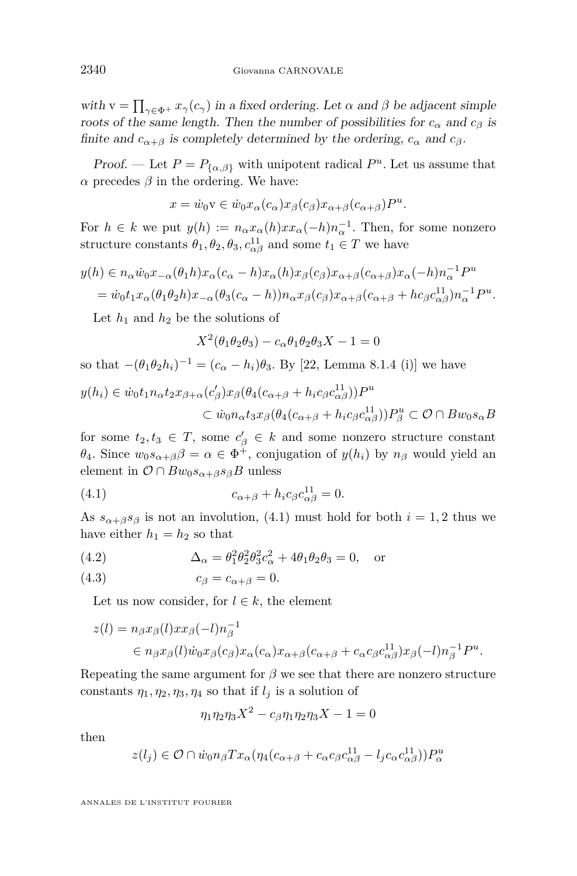<span id="page-12-0"></span>with  $v = \prod_{\gamma \in \Phi^+} x_\gamma(c_\gamma)$  in a fixed ordering. Let  $\alpha$  and  $\beta$  be adjacent simple roots of the same length. Then the number of possibilities for  $c_{\alpha}$  and  $c_{\beta}$  is finite and  $c_{\alpha+\beta}$  is completely determined by the ordering,  $c_{\alpha}$  and  $c_{\beta}$ .

*Proof.* — Let  $P = P_{\{\alpha,\beta\}}$  with unipotent radical  $P^u$ . Let us assume that *α* precedes *β* in the ordering. We have:

$$
x = \dot{w}_0 v \in \dot{w}_0 x_\alpha(c_\alpha) x_\beta(c_\beta) x_{\alpha+\beta}(c_{\alpha+\beta}) P^u.
$$

For  $h \in k$  we put  $y(h) := n_{\alpha}x_{\alpha}(h)xx_{\alpha}(-h)n_{\alpha}^{-1}$ . Then, for some nonzero structure constants  $\theta_1, \theta_2, \theta_3, c_{\alpha\beta}^{11}$  and some  $t_1 \in T$  we have

$$
y(h) \in n_{\alpha}\dot{w}_0 x_{-\alpha}(\theta_1 h) x_{\alpha} (c_{\alpha} - h) x_{\alpha} (h) x_{\beta} (c_{\beta}) x_{\alpha+\beta} (c_{\alpha+\beta}) x_{\alpha} (-h) n_{\alpha}^{-1} P^u
$$
  
=  $\dot{w}_0 t_1 x_{\alpha} (\theta_1 \theta_2 h) x_{-\alpha} (\theta_3 (c_{\alpha} - h)) n_{\alpha} x_{\beta} (c_{\beta}) x_{\alpha+\beta} (c_{\alpha+\beta} + h c_{\beta} c_{\alpha\beta}^{11}) n_{\alpha}^{-1} P^u.$ 

Let  $h_1$  and  $h_2$  be the solutions of

$$
X^2(\theta_1\theta_2\theta_3) - c_\alpha\theta_1\theta_2\theta_3X - 1 = 0
$$

so that 
$$
-(\theta_1 \theta_2 h_i)^{-1} = (c_{\alpha} - h_i)\theta_3
$$
. By [22, Lemma 8.1.4 (i)] we have

$$
y(h_i) \in \dot{w}_0 t_1 n_\alpha t_2 x_{\beta+\alpha} (c'_{\beta}) x_{\beta} (\theta_4 (c_{\alpha+\beta} + h_i c_{\beta} c_{\alpha\beta}^{11})) P^u
$$
  

$$
\subset \dot{w}_0 n_\alpha t_3 x_{\beta} (\theta_4 (c_{\alpha+\beta} + h_i c_{\beta} c_{\alpha\beta}^{11})) P^u_{\beta} \subset \mathcal{O} \cap B w_0 s_\alpha B
$$

for some  $t_2, t_3 \in T$ , some  $c'_{\beta} \in k$  and some nonzero structure constant *θ*<sub>4</sub>. Since  $w_0 s_{\alpha+\beta} \beta = \alpha \in \Phi^+$ , conjugation of  $y(h_i)$  by  $n_\beta$  would yield an element in  $\mathcal{O} \cap Bw_0s_{\alpha+\beta}s_{\beta}B$  unless

(4.1) 
$$
c_{\alpha+\beta} + h_i c_{\beta} c_{\alpha\beta}^{11} = 0.
$$

As  $s_{\alpha+\beta}s_{\beta}$  is not an involution, (4.1) must hold for both  $i=1,2$  thus we have either  $h_1 = h_2$  so that

(4.2) 
$$
\Delta_{\alpha} = \theta_1^2 \theta_2^2 \theta_3^2 c_{\alpha}^2 + 4\theta_1 \theta_2 \theta_3 = 0, \text{ or}
$$

$$
(4.3) \t\t c_{\beta} = c_{\alpha+\beta} = 0.
$$

Let us now consider, for  $l \in k$ , the element

$$
z(l) = n_{\beta} x_{\beta}(l) x x_{\beta}(-l) n_{\beta}^{-1}
$$
  
\n
$$
\in n_{\beta} x_{\beta}(l) \dot{w}_{0} x_{\beta}(c_{\beta}) x_{\alpha}(c_{\alpha}) x_{\alpha+\beta}(c_{\alpha+\beta} + c_{\alpha} c_{\beta} c_{\alpha\beta}^{11}) x_{\beta}(-l) n_{\beta}^{-1} P^{u}.
$$

Repeating the same argument for  $\beta$  we see that there are nonzero structure constants  $\eta_1, \eta_2, \eta_3, \eta_4$  so that if  $l_i$  is a solution of

$$
\eta_1 \eta_2 \eta_3 X^2 - c_\beta \eta_1 \eta_2 \eta_3 X - 1 = 0
$$

then

$$
z(l_j) \in \mathcal{O} \cap \dot{w}_0 n_\beta T x_\alpha (\eta_4 (c_{\alpha+\beta} + c_\alpha c_\beta c_{\alpha\beta}^{11} - l_j c_\alpha c_{\alpha\beta}^{11})) P_\alpha^u
$$

ANNALES DE L'INSTITUT FOURIER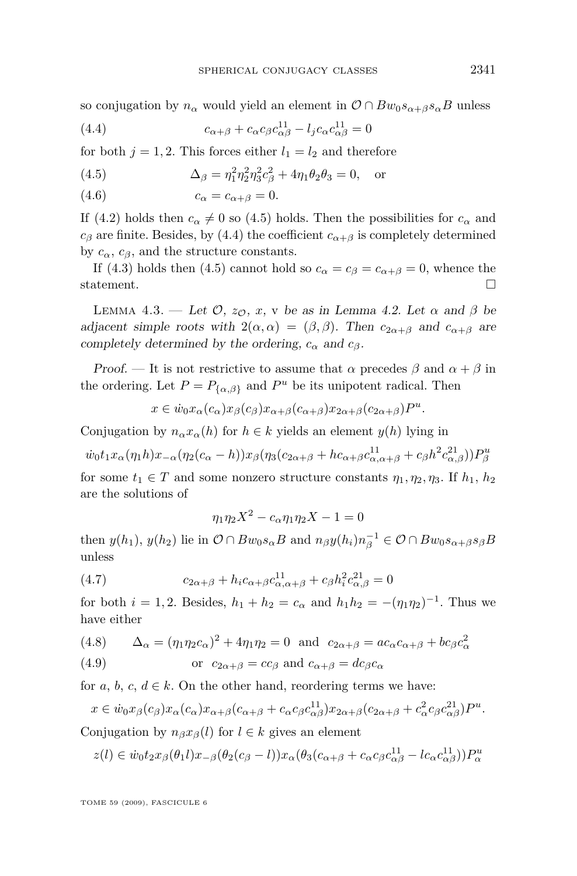<span id="page-13-0"></span>so conjugation by  $n_{\alpha}$  would yield an element in  $\mathcal{O} \cap Bw_0s_{\alpha+\beta}s_{\alpha}B$  unless

(4.4) 
$$
c_{\alpha+\beta} + c_{\alpha}c_{\beta}c_{\alpha\beta}^{11} - l_j c_{\alpha}c_{\alpha\beta}^{11} = 0
$$

for both  $j = 1, 2$ . This forces either  $l_1 = l_2$  and therefore

(4.5) 
$$
\Delta_{\beta} = \eta_1^2 \eta_2^2 \eta_3^2 c_{\beta}^2 + 4 \eta_1 \theta_2 \theta_3 = 0, \text{ or}
$$

$$
(4.6) \t\t\t c_{\alpha} = c_{\alpha+\beta} = 0.
$$

If [\(4.2\)](#page-12-0) holds then  $c_{\alpha} \neq 0$  so (4.5) holds. Then the possibilities for  $c_{\alpha}$  and *c*<sup>β</sup> are finite. Besides, by (4.4) the coefficient  $c_{\alpha+\beta}$  is completely determined by  $c_{\alpha}$ ,  $c_{\beta}$ , and the structure constants.

If [\(4.3\)](#page-12-0) holds then (4.5) cannot hold so  $c_{\alpha} = c_{\beta} = c_{\alpha+\beta} = 0$ , whence the statement.  $\Box$ 

LEMMA 4.3. — Let  $\mathcal{O}, z_{\mathcal{O}}, x$ , v be as in Lemma [4.2.](#page-11-0) Let  $\alpha$  and  $\beta$  be adjacent simple roots with  $2(\alpha, \alpha) = (\beta, \beta)$ . Then  $c_{2\alpha+\beta}$  and  $c_{\alpha+\beta}$  are completely determined by the ordering,  $c_{\alpha}$  and  $c_{\beta}$ .

Proof. — It is not restrictive to assume that  $\alpha$  precedes  $\beta$  and  $\alpha + \beta$  in the ordering. Let  $P = P_{\{\alpha,\beta\}}$  and  $P^u$  be its unipotent radical. Then

$$
x \in \dot{w}_0 x_\alpha(c_\alpha) x_\beta(c_\beta) x_{\alpha+\beta}(c_{\alpha+\beta}) x_{2\alpha+\beta}(c_{2\alpha+\beta}) P^u.
$$

Conjugation by  $n_{\alpha}x_{\alpha}(h)$  for  $h \in k$  yields an element  $y(h)$  lying in

$$
\dot{w}_0 t_1 x_\alpha(\eta_1 h) x_{-\alpha}(\eta_2(c_\alpha - h)) x_\beta(\eta_3(c_{2\alpha+\beta} + h c_{\alpha+\beta} c_{\alpha,\alpha+\beta}^{11} + c_\beta h^2 c_{\alpha,\beta}^{21})) P_\beta^u
$$

for some  $t_1 \in T$  and some nonzero structure constants  $\eta_1, \eta_2, \eta_3$ . If  $h_1, h_2$ are the solutions of

$$
\eta_1 \eta_2 X^2 - c_\alpha \eta_1 \eta_2 X - 1 = 0
$$

then  $y(h_1)$ ,  $y(h_2)$  lie in  $\mathcal{O} \cap Bw_0s_{\alpha}B$  and  $n_{\beta}y(h_i)n_{\beta}^{-1} \in \mathcal{O} \cap Bw_0s_{\alpha+\beta}s_{\beta}B$ unless

(4.7) 
$$
c_{2\alpha+\beta} + h_i c_{\alpha+\beta} c_{\alpha,\alpha+\beta}^{11} + c_{\beta} h_i^2 c_{\alpha,\beta}^{21} = 0
$$

for both  $i = 1, 2$ . Besides,  $h_1 + h_2 = c_\alpha$  and  $h_1 h_2 = -(\eta_1 \eta_2)^{-1}$ . Thus we have either

(4.8) 
$$
\Delta_{\alpha} = (\eta_1 \eta_2 c_{\alpha})^2 + 4 \eta_1 \eta_2 = 0
$$
 and  $c_{2\alpha+\beta} = ac_{\alpha} c_{\alpha+\beta} + bc_{\beta} c_{\alpha}^2$ 

(4.9) or 
$$
c_{2\alpha+\beta} = cc_{\beta}
$$
 and  $c_{\alpha+\beta} = dc_{\beta}c_{\alpha}$ 

for *a*, *b*, *c*,  $d \in k$ . On the other hand, reordering terms we have:

$$
x \in \dot{w}_0 x_\beta(c_\beta) x_\alpha(c_\alpha) x_{\alpha+\beta}(c_{\alpha+\beta} + c_\alpha c_\beta c_{\alpha\beta}^{11}) x_{2\alpha+\beta}(c_{2\alpha+\beta} + c_\alpha^2 c_\beta c_{\alpha\beta}^{21}) P^u.
$$

Conjugation by  $n_{\beta}x_{\beta}(l)$  for  $l \in k$  gives an element

$$
z(l) \in \dot{w}_0 t_2 x_\beta(\theta_1 l) x_{-\beta}(\theta_2(c_\beta - l)) x_\alpha(\theta_3(c_{\alpha + \beta} + c_\alpha c_\beta c_{\alpha \beta}^{11} - lc_\alpha c_{\alpha \beta}^{11})) P_\alpha^u
$$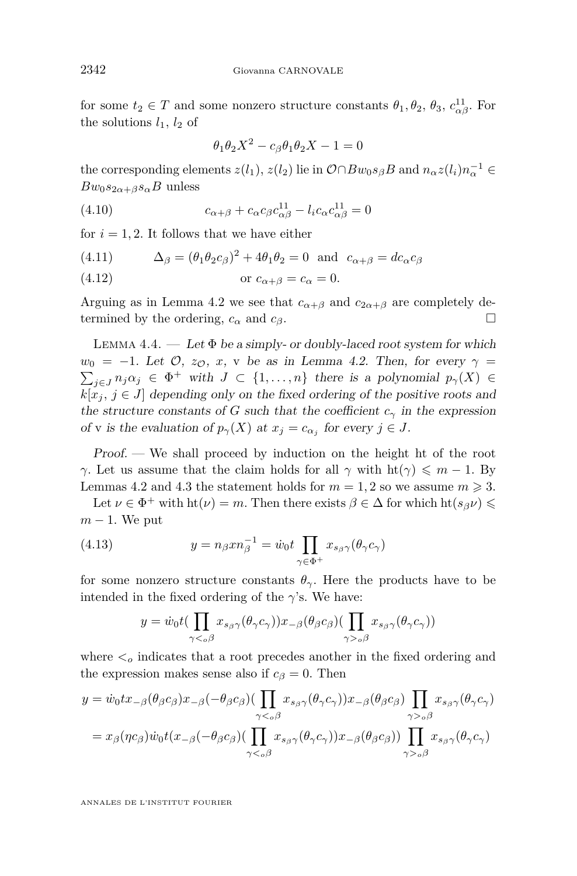<span id="page-14-0"></span>for some  $t_2 \in T$  and some nonzero structure constants  $\theta_1, \theta_2, \theta_3, c_{\alpha\beta}^{11}$ . For the solutions  $l_1$ ,  $l_2$  of

$$
\theta_1 \theta_2 X^2 - c_\beta \theta_1 \theta_2 X - 1 = 0
$$

the corresponding elements  $z(l_1), z(l_2)$  lie in  $\mathcal{O} \cap Bw_0s_\beta B$  and  $n_\alpha z(l_i)n_\alpha^{-1} \in$  $Bw_0s_{2\alpha+\beta}s_{\alpha}B$  unless

(4.10) 
$$
c_{\alpha+\beta} + c_{\alpha}c_{\beta}c_{\alpha\beta}^{11} - l_{i}c_{\alpha}c_{\alpha\beta}^{11} = 0
$$

for  $i = 1, 2$ . It follows that we have either

(4.11) 
$$
\Delta_{\beta} = (\theta_1 \theta_2 c_{\beta})^2 + 4\theta_1 \theta_2 = 0 \text{ and } c_{\alpha + \beta} = dc_{\alpha} c_{\beta}
$$

$$
(4.12) \t\t or \t c_{\alpha+\beta} = c_{\alpha} = 0.
$$

Arguing as in Lemma [4.2](#page-11-0) we see that  $c_{\alpha+\beta}$  and  $c_{2\alpha+\beta}$  are completely determined by the ordering,  $c_{\alpha}$  and  $c_{\beta}$ .

LEMMA 4.4.  $\qquad \qquad Let \Phi be a simply- or doubly-laced root system for which$  $w_0 = -1$ . Let  $\mathcal{O}, z_{\mathcal{O}}, x$ , v be as in Lemma [4.2.](#page-11-0) Then, for every  $\gamma =$  $\sum_{j\in J} n_j \alpha_j \in \Phi^+$  with  $J \subset \{1, \ldots, n\}$  there is a polynomial  $p_\gamma(X) \in$  $k[x_j, j \in J]$  depending only on the fixed ordering of the positive roots and the structure constants of *G* such that the coefficient  $c<sub>γ</sub>$  in the expression of v is the evaluation of  $p_{\gamma}(X)$  at  $x_j = c_{\alpha_j}$  for every  $j \in J$ .

Proof. — We shall proceed by induction on the height ht of the root *γ*. Let us assume that the claim holds for all *γ* with  $\text{ht}(\gamma) \leq m - 1$ . By Lemmas [4.2](#page-11-0) and [4.3](#page-13-0) the statement holds for  $m = 1, 2$  so we assume  $m \ge 3$ .

Let  $\nu \in \Phi^+$  with  $\text{ht}(\nu) = m$ . Then there exists  $\beta \in \Delta$  for which  $\text{ht}(s_{\beta}\nu) \leq$ *m* − 1. We put

(4.13) 
$$
y = n_{\beta} x n_{\beta}^{-1} = \dot{w}_0 t \prod_{\gamma \in \Phi^+} x_{s_{\beta} \gamma} (\theta_{\gamma} c_{\gamma})
$$

for some nonzero structure constants  $\theta_{\gamma}$ . Here the products have to be intended in the fixed ordering of the  $\gamma$ 's. We have:

$$
y = \dot{w}_0 t \left( \prod_{\gamma < \delta} x_{s_{\beta} \gamma} (\theta_{\gamma} c_{\gamma}) \right) x_{-\beta} (\theta_{\beta} c_{\beta}) \left( \prod_{\gamma > \delta} x_{s_{\beta} \gamma} (\theta_{\gamma} c_{\gamma}) \right)
$$

where  $\lt_o$  indicates that a root precedes another in the fixed ordering and the expression makes sense also if  $c_{\beta} = 0$ . Then

$$
y = \dot{w}_0 t x_{-\beta} (\theta_{\beta} c_{\beta}) x_{-\beta} (-\theta_{\beta} c_{\beta}) \left( \prod_{\gamma <_{\alpha} \beta} x_{s_{\beta} \gamma} (\theta_{\gamma} c_{\gamma}) \right) x_{-\beta} (\theta_{\beta} c_{\beta}) \prod_{\gamma >_{\alpha} \beta} x_{s_{\beta} \gamma} (\theta_{\gamma} c_{\gamma})
$$
\n
$$
= x_{\beta} (\eta c_{\beta}) \dot{w}_0 t (x_{-\beta} (-\theta_{\beta} c_{\beta}) \left( \prod_{\gamma <_{\alpha} \beta} x_{s_{\beta} \gamma} (\theta_{\gamma} c_{\gamma}) \right) x_{-\beta} (\theta_{\beta} c_{\beta}) \prod_{\gamma >_{\alpha} \beta} x_{s_{\beta} \gamma} (\theta_{\gamma} c_{\gamma})
$$

ANNALES DE L'INSTITUT FOURIER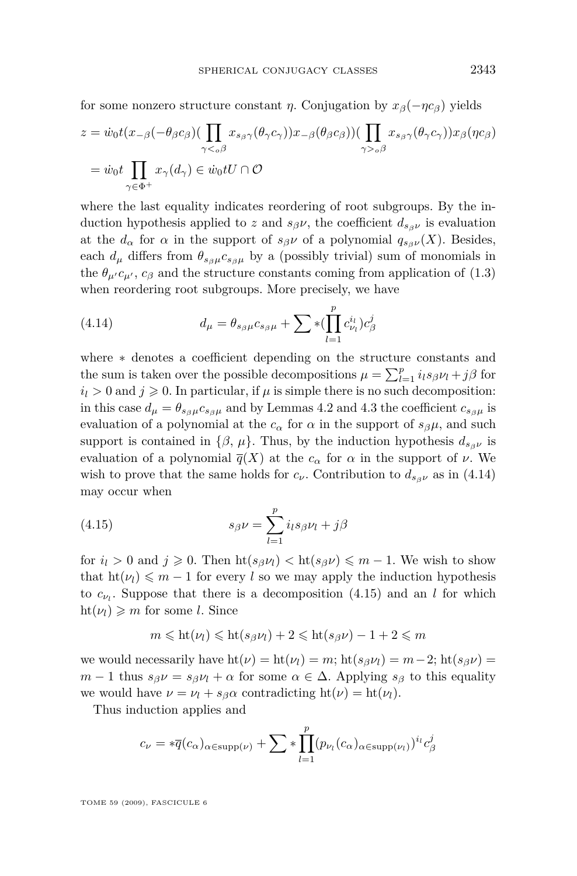<span id="page-15-0"></span>for some nonzero structure constant *η*. Conjugation by  $x_\beta(-\eta c_\beta)$  yields

$$
z = \dot{w}_0 t(x_{-\beta}(-\theta_{\beta}c_{\beta})(\prod_{\gamma<_{o}\beta} x_{s_{\beta}\gamma}(\theta_{\gamma}c_{\gamma}))x_{-\beta}(\theta_{\beta}c_{\beta}))(\prod_{\gamma>_{o}\beta} x_{s_{\beta}\gamma}(\theta_{\gamma}c_{\gamma}))x_{\beta}(\eta c_{\beta})
$$

$$
= \dot{w}_0 t \prod_{\gamma \in \Phi^+} x_{\gamma}(d_{\gamma}) \in \dot{w}_0 tU \cap \mathcal{O}
$$

where the last equality indicates reordering of root subgroups. By the induction hypothesis applied to *z* and  $s_{\beta}$ *ν*, the coefficient  $d_{s_{\beta}$ *γ* is evaluation at the  $d_{\alpha}$  for  $\alpha$  in the support of  $s_{\beta} \nu$  of a polynomial  $q_{s_{\beta} \nu}(X)$ . Besides, each  $d_{\mu}$  differs from  $\theta_{s_{\beta}\mu}c_{s_{\beta}\mu}$  by a (possibly trivial) sum of monomials in the  $\theta_{\mu'}c_{\mu'}, c_{\beta}$  and the structure constants coming from application of [\(1.3\)](#page-4-0) when reordering root subgroups. More precisely, we have

(4.14) 
$$
d_{\mu} = \theta_{s_{\beta}\mu} c_{s_{\beta}\mu} + \sum \ast (\prod_{l=1}^{p} c_{\nu_{l}}^{i_{l}}) c_{\beta}^{j}
$$

where *∗* denotes a coefficient depending on the structure constants and the sum is taken over the possible decompositions  $\mu = \sum_{l=1}^{p} i_l s_{\beta} \nu_l + j\beta$  for  $i_l > 0$  and  $j \ge 0$ . In particular, if  $\mu$  is simple there is no such decomposition: in this case  $d_{\mu} = \theta_{s_{\beta}\mu} c_{s_{\beta}\mu}$  and by Lemmas [4.2](#page-11-0) and [4.3](#page-13-0) the coefficient  $c_{s_{\beta}\mu}$  is evaluation of a polynomial at the  $c_{\alpha}$  for  $\alpha$  in the support of  $s_{\beta}\mu$ , and such support is contained in  $\{\beta, \mu\}$ . Thus, by the induction hypothesis  $d_{s \beta \nu}$  is evaluation of a polynomial  $\overline{q}(X)$  at the  $c_{\alpha}$  for  $\alpha$  in the support of  $\nu$ . We wish to prove that the same holds for  $c_{\nu}$ . Contribution to  $d_{s_{\beta}\nu}$  as in (4.14) may occur when

(4.15) 
$$
s_{\beta}\nu = \sum_{l=1}^{p} i_l s_{\beta} \nu_l + j\beta
$$

for  $i_l > 0$  and  $j \ge 0$ . Then  $\text{ht}(s_{\beta} \nu_l) < \text{ht}(s_{\beta} \nu) \le m - 1$ . We wish to show that  $h(\nu_l) \leq m-1$  for every *l* so we may apply the induction hypothesis to  $c_{\nu_l}$ . Suppose that there is a decomposition (4.15) and an *l* for which  $\mathrm{ht}(\nu_l) \geqslant m$  for some *l*. Since

$$
m \leqslant ht(\nu_l) \leqslant ht(s_{\beta}\nu_l) + 2 \leqslant ht(s_{\beta}\nu) - 1 + 2 \leqslant m
$$

we would necessarily have  $\text{ht}(\nu) = \text{ht}(\nu_1) = m$ ;  $\text{ht}(s_{\beta}\nu_1) = m-2$ ;  $\text{ht}(s_{\beta}\nu) =$  $m-1$  thus  $s_{\beta} \nu = s_{\beta} \nu_l + \alpha$  for some  $\alpha \in \Delta$ . Applying  $s_{\beta}$  to this equality we would have  $\nu = \nu_l + s_{\beta} \alpha$  contradicting  $\text{ht}(\nu) = \text{ht}(\nu_l)$ .

Thus induction applies and

$$
c_{\nu} = * \overline{q}(c_{\alpha})_{\alpha \in \text{supp}(\nu)} + \sum * \prod_{l=1}^{p} (p_{\nu_l}(c_{\alpha})_{\alpha \in \text{supp}(\nu_l)})^{i_l} c_{\beta}^{j}
$$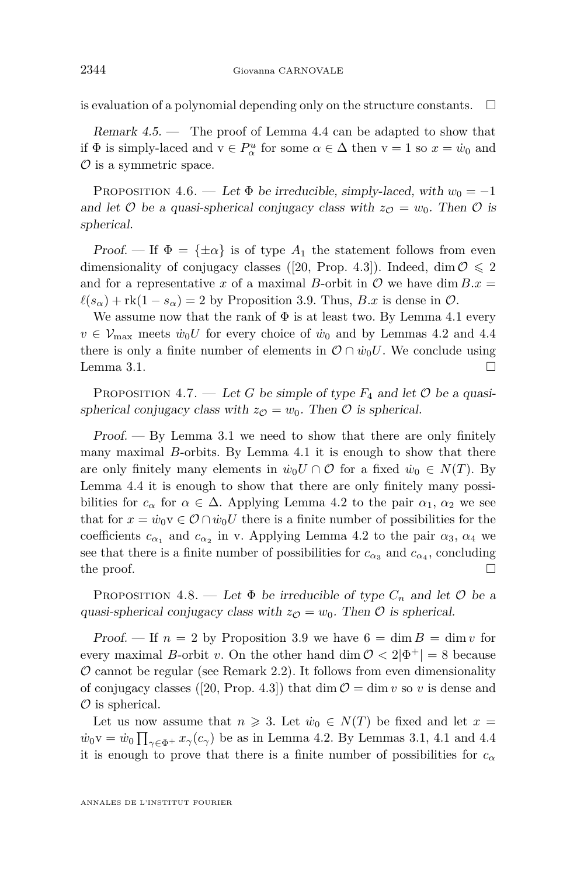<span id="page-16-0"></span>is evaluation of a polynomial depending only on the structure constants.  $\Box$ 

Remark 4.5. — The proof of Lemma [4.4](#page-14-0) can be adapted to show that if  $\Phi$  is simply-laced and  $v \in P^u_\alpha$  for some  $\alpha \in \Delta$  then  $v = 1$  so  $x = \dot{w}_0$  and *O* is a symmetric space.

PROPOSITION 4.6. — Let  $\Phi$  be irreducible, simply-laced, with  $w_0 = -1$ and let  $\mathcal{O}$  be a quasi-spherical conjugacy class with  $z_{\mathcal{O}} = w_0$ . Then  $\mathcal{O}$  is spherical.

Proof. — If  $\Phi = {\pm \alpha}$  is of type  $A_1$  the statement follows from even dimensionality of conjugacy classes ([\[20,](#page-28-0) Prop. 4.3]). Indeed, dim  $\mathcal{O} \leq 2$ and for a representative *x* of a maximal *B*-orbit in  $\mathcal{O}$  we have dim  $B.x =$  $\ell(s_\alpha)$  + rk(1 *− s*<sub> $\alpha$ </sub>) = 2 by Proposition [3.9.](#page-10-0) Thus, *B.x* is dense in  $\mathcal{O}$ .

We assume now that the rank of  $\Phi$  is at least two. By Lemma [4.1](#page-11-0) every  $v \in \mathcal{V}_{\text{max}}$  meets  $\dot{w}_0 U$  for every choice of  $\dot{w}_0$  and by Lemmas [4.2](#page-11-0) and [4.4](#page-14-0) there is only a finite number of elements in  $\mathcal{O} \cap \dot{w}_0 U$ . We conclude using Lemma [3.1.](#page-8-0)  $\Box$ 

PROPOSITION 4.7. — Let G be simple of type  $F_4$  and let  $\mathcal O$  be a quasispherical conjugacy class with  $z_{\mathcal{O}} = w_0$ . Then  $\mathcal O$  is spherical.

Proof. — By Lemma [3.1](#page-8-0) we need to show that there are only finitely many maximal *B*-orbits. By Lemma [4.1](#page-11-0) it is enough to show that there are only finitely many elements in  $\dot{w}_0 U \cap \mathcal{O}$  for a fixed  $\dot{w}_0 \in N(T)$ . By Lemma [4.4](#page-14-0) it is enough to show that there are only finitely many possibilities for  $c_{\alpha}$  for  $\alpha \in \Delta$ . Applying Lemma [4.2](#page-11-0) to the pair  $\alpha_1, \alpha_2$  we see that for  $x = \dot{w}_0 v \in \mathcal{O} \cap \dot{w}_0 U$  there is a finite number of possibilities for the coefficients  $c_{\alpha_1}$  and  $c_{\alpha_2}$  in v. Applying Lemma [4.2](#page-11-0) to the pair  $\alpha_3$ ,  $\alpha_4$  we see that there is a finite number of possibilities for  $c_{\alpha_3}$  and  $c_{\alpha_4}$ , concluding the proof.  $\Box$ 

PROPOSITION 4.8. — Let  $\Phi$  be irreducible of type  $C_n$  and let  $\mathcal O$  be a quasi-spherical conjugacy class with  $z_{\mathcal{O}} = w_0$ . Then  $\mathcal O$  is spherical.

Proof. — If  $n = 2$  by Proposition [3.9](#page-10-0) we have  $6 = \dim B = \dim v$  for every maximal *B*-orbit *v*. On the other hand dim  $\mathcal{O} < 2|\Phi^+| = 8$  because  $O$  cannot be regular (see Remark [2.2\)](#page-5-0). It follows from even dimensionality of conjugacy classes ([\[20,](#page-28-0) Prop. 4.3]) that dim  $\mathcal{O} = \dim v$  so v is dense and *O* is spherical.

Let us now assume that  $n \ge 3$ . Let  $\dot{w}_0 \in N(T)$  be fixed and let  $x =$  $\dot{w}_0 v = \dot{w}_0 \prod_{\gamma \in \Phi^+} x_{\gamma}(c_{\gamma})$  be as in Lemma [4.2.](#page-11-0) By Lemmas [3.1,](#page-8-0) [4.1](#page-11-0) and [4.4](#page-14-0) it is enough to prove that there is a finite number of possibilities for  $c_{\alpha}$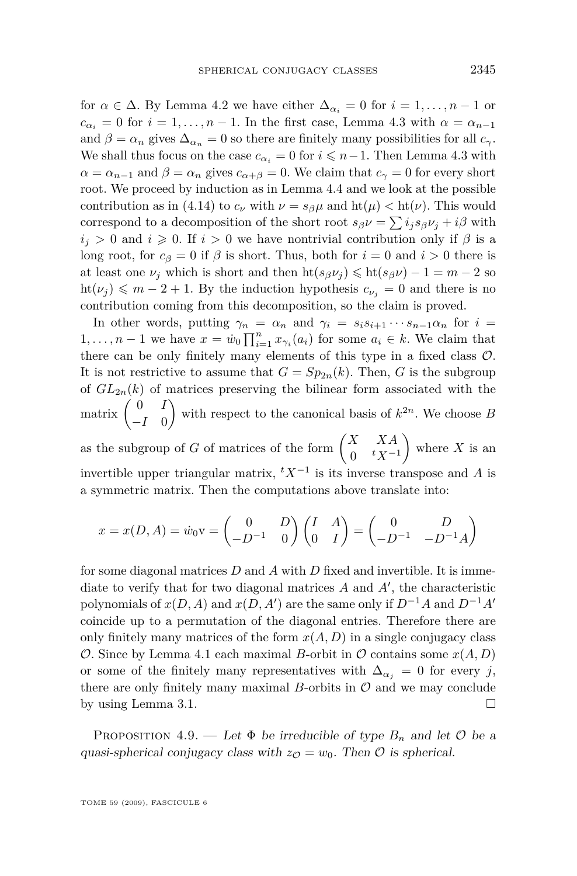<span id="page-17-0"></span>for  $\alpha \in \Delta$ . By Lemma [4.2](#page-11-0) we have either  $\Delta_{\alpha_i} = 0$  for  $i = 1, \ldots, n-1$  or  $c_{\alpha_i} = 0$  for  $i = 1, \ldots, n-1$ . In the first case, Lemma [4.3](#page-13-0) with  $\alpha = \alpha_{n-1}$ and  $\beta = \alpha_n$  gives  $\Delta_{\alpha_n} = 0$  so there are finitely many possibilities for all  $c_\gamma$ . We shall thus focus on the case  $c_{\alpha_i} = 0$  for  $i \leq n-1$ . Then Lemma [4.3](#page-13-0) with  $\alpha = \alpha_{n-1}$  and  $\beta = \alpha_n$  gives  $c_{\alpha+\beta} = 0$ . We claim that  $c_{\gamma} = 0$  for every short root. We proceed by induction as in Lemma [4.4](#page-14-0) and we look at the possible contribution as in [\(4.14\)](#page-15-0) to  $c_\nu$  with  $\nu = s_\beta \mu$  and  $\text{ht}(\mu) < \text{ht}(\nu)$ . This would correspond to a decomposition of the short root  $s_{\beta} \nu = \sum i_j s_{\beta} \nu_j + i\beta$  with  $i_j > 0$  and  $i \geq 0$ . If  $i > 0$  we have nontrivial contribution only if  $\beta$  is a long root, for  $c_{\beta} = 0$  if  $\beta$  is short. Thus, both for  $i = 0$  and  $i > 0$  there is at least one  $\nu_j$  which is short and then  $\text{ht}(s_{\beta}\nu_j) \leq \text{ht}(s_{\beta}\nu) - 1 = m - 2$  so  $\text{ht}(\nu_j) \leqslant m-2+1$ . By the induction hypothesis  $c_{\nu_j} = 0$  and there is no contribution coming from this decomposition, so the claim is proved.

In other words, putting  $\gamma_n = \alpha_n$  and  $\gamma_i = s_i s_{i+1} \cdots s_{n-1} \alpha_n$  for  $i =$ 1,..., *n* − 1 we have  $x = \dot{w}_0 \prod_{i=1}^n x_{\gamma_i}(a_i)$  for some  $a_i \in k$ . We claim that there can be only finitely many elements of this type in a fixed class *O*. It is not restrictive to assume that  $G = Sp_{2n}(k)$ . Then, *G* is the subgroup of  $GL_{2n}(k)$  of matrices preserving the bilinear form associated with the matrix  $\begin{pmatrix} 0 & I \\ I & 0 \end{pmatrix}$ *−I* 0 with respect to the canonical basis of  $k^{2n}$ . We choose *B* as the subgroup of *G* of matrices of the form  $\begin{pmatrix} X & XA \\ 0 & tY \end{pmatrix}$ 0 *<sup>t</sup>X<sup>−</sup>*<sup>1</sup> where  $X$  is an invertible upper triangular matrix, *<sup>t</sup>X<sup>−</sup>*<sup>1</sup> is its inverse transpose and *A* is

a symmetric matrix. Then the computations above translate into:

$$
x = x(D, A) = \dot{w}_0 \mathbf{v} = \begin{pmatrix} 0 & D \\ -D^{-1} & 0 \end{pmatrix} \begin{pmatrix} I & A \\ 0 & I \end{pmatrix} = \begin{pmatrix} 0 & D \\ -D^{-1} & -D^{-1}A \end{pmatrix}
$$

for some diagonal matrices *D* and *A* with *D* fixed and invertible. It is immediate to verify that for two diagonal matrices  $A$  and  $A'$ , the characteristic polynomials of  $x(D, A)$  and  $x(D, A')$  are the same only if  $D^{-1}A$  and  $D^{-1}A'$ coincide up to a permutation of the diagonal entries. Therefore there are only finitely many matrices of the form  $x(A, D)$  in a single conjugacy class *O*. Since by Lemma [4.1](#page-11-0) each maximal *B*-orbit in *O* contains some  $x(A, D)$ or some of the finitely many representatives with  $\Delta_{\alpha_i} = 0$  for every *j*, there are only finitely many maximal  $B$ -orbits in  $\mathcal O$  and we may conclude by using Lemma [3.1.](#page-8-0)

PROPOSITION 4.9. — Let  $\Phi$  be irreducible of type  $B_n$  and let  $\mathcal O$  be a quasi-spherical conjugacy class with  $z_{\mathcal{O}} = w_0$ . Then  $\mathcal O$  is spherical.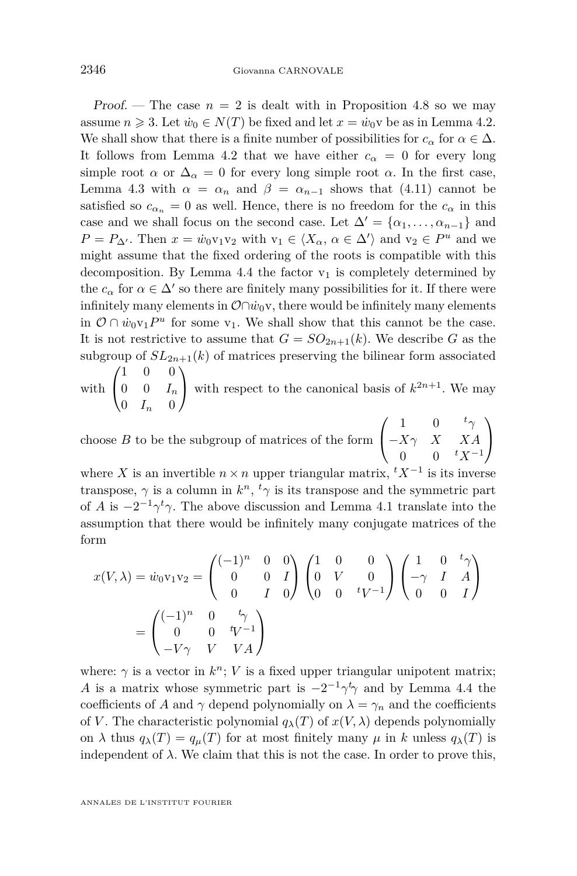Proof. — The case  $n = 2$  is dealt with in Proposition [4.8](#page-16-0) so we may assume  $n \geq 3$ . Let  $\dot{w}_0 \in N(T)$  be fixed and let  $x = \dot{w}_0$  be as in Lemma [4.2.](#page-11-0) We shall show that there is a finite number of possibilities for  $c_{\alpha}$  for  $\alpha \in \Delta$ . It follows from Lemma [4.2](#page-11-0) that we have either  $c_{\alpha} = 0$  for every long simple root  $\alpha$  or  $\Delta_{\alpha} = 0$  for every long simple root  $\alpha$ . In the first case, Lemma [4.3](#page-13-0) with  $\alpha = \alpha_n$  and  $\beta = \alpha_{n-1}$  shows that [\(4.11\)](#page-14-0) cannot be satisfied so  $c_{\alpha_n} = 0$  as well. Hence, there is no freedom for the  $c_{\alpha}$  in this case and we shall focus on the second case. Let  $\Delta' = {\alpha_1, \ldots, \alpha_{n-1}}$  and  $P = P_{\Delta'}$ . Then  $x = \dot{w}_0 v_1 v_2$  with  $v_1 \in \langle X_\alpha, \alpha \in \Delta' \rangle$  and  $v_2 \in P^u$  and we might assume that the fixed ordering of the roots is compatible with this decomposition. By Lemma [4.4](#page-14-0) the factor  $v_1$  is completely determined by the  $c_{\alpha}$  for  $\alpha \in \Delta'$  so there are finitely many possibilities for it. If there were infinitely many elements in  $\mathcal{O} \cap w_0$ <sup>v</sup>, there would be infinitely many elements in  $\mathcal{O} \cap \dot{w}_0 v_1 P^u$  for some  $v_1$ . We shall show that this cannot be the case. It is not restrictive to assume that  $G = SO_{2n+1}(k)$ . We describe *G* as the subgroup of  $SL_{2n+1}(k)$  of matrices preserving the bilinear form associated

with  $\sqrt{ }$  $\mathcal{L}$ 1 0 0  $0 \t 0 \t I_n$  $0$   $I_n$  0  $\setminus$ with respect to the canonical basis of  $k^{2n+1}$ . We may

choose *B* to be the subgroup of matrices of the form  $\sqrt{ }$  $\mathcal{L}$ 1 0  $t_{\gamma}$ *−Xγ X XA* 0 0 *<sup>t</sup>X<sup>−</sup>*<sup>1</sup>  $\setminus$  $\overline{1}$ 

where *X* is an invertible  $n \times n$  upper triangular matrix,  ${}^t X^{-1}$  is its inverse transpose,  $\gamma$  is a column in  $k^n$ ,  $\tau$ <sup>*t*</sup> $\gamma$  is its transpose and the symmetric part of *A* is  $-2^{-1}\gamma^t\gamma$ . The above discussion and Lemma [4.1](#page-11-0) translate into the assumption that there would be infinitely many conjugate matrices of the form

$$
x(V,\lambda) = \dot{w}_0 v_1 v_2 = \begin{pmatrix} (-1)^n & 0 & 0 \\ 0 & 0 & I \\ 0 & I & 0 \end{pmatrix} \begin{pmatrix} 1 & 0 & 0 \\ 0 & V & 0 \\ 0 & 0 & tV^{-1} \end{pmatrix} \begin{pmatrix} 1 & 0 & t_{\gamma} \\ -\gamma & I & A \\ 0 & 0 & I \end{pmatrix}
$$

$$
= \begin{pmatrix} (-1)^n & 0 & t_{\gamma} \\ 0 & 0 & tV^{-1} \\ -V\gamma & V & VA \end{pmatrix}
$$

where:  $\gamma$  is a vector in  $k^n$ ; *V* is a fixed upper triangular unipotent matrix; *A* is a matrix whose symmetric part is  $-2^{-1}\gamma^t\gamma$  and by Lemma [4.4](#page-14-0) the coefficients of *A* and  $\gamma$  depend polynomially on  $\lambda = \gamma_n$  and the coefficients of *V*. The characteristic polynomial  $q_{\lambda}(T)$  of  $x(V, \lambda)$  depends polynomially on  $\lambda$  thus  $q_{\lambda}(T) = q_{\mu}(T)$  for at most finitely many  $\mu$  in  $k$  unless  $q_{\lambda}(T)$  is independent of  $\lambda$ . We claim that this is not the case. In order to prove this,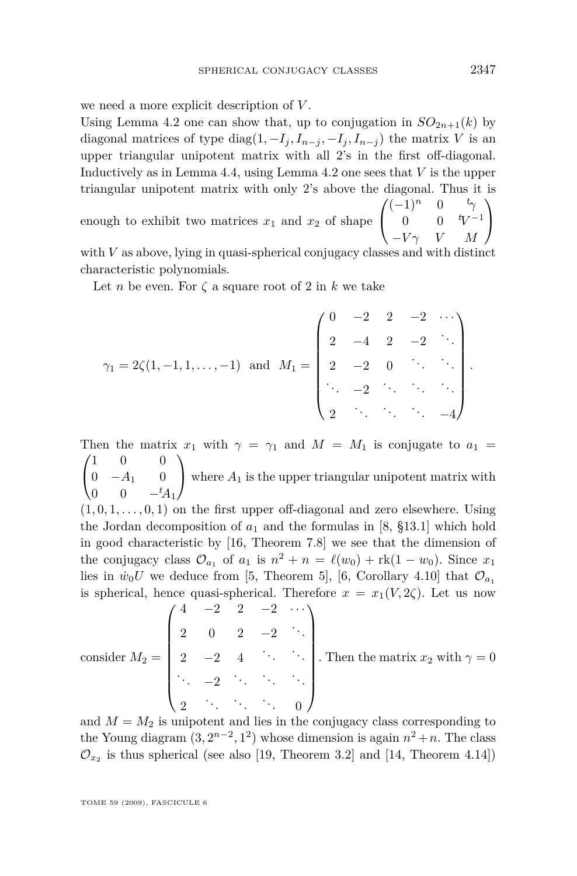we need a more explicit description of *V* .

Using Lemma [4.2](#page-11-0) one can show that, up to conjugation in  $SO_{2n+1}(k)$  by diagonal matrices of type diag $(1, -I_i, I_{n-i}, -I_i, I_{n-i})$  the matrix *V* is an upper triangular unipotent matrix with all 2's in the first off-diagonal. Inductively as in Lemma [4.4,](#page-14-0) using Lemma [4.2](#page-11-0) one sees that *V* is the upper triangular unipotent matrix with only 2's above the diagonal. Thus it is

enough to exhibit two matrices  $x_1$  and  $x_2$  of shape  $\sqrt{ }$  $\mathcal{L}$  $(-1)^n$  0  $t_\gamma$ 0 0 *<sup>t</sup>V −*1 *−V γ V M*  $\setminus$  $\overline{1}$ 

with *V* as above, lying in quasi-spherical conjugacy classes and with distinct characteristic polynomials.

Let *n* be even. For  $\zeta$  a square root of 2 in *k* we take

$$
\gamma_1 = 2\zeta(1, -1, 1, \dots, -1) \text{ and } M_1 = \begin{pmatrix} 0 & -2 & 2 & -2 & \cdots \\ 2 & -4 & 2 & -2 & \ddots \\ 2 & -2 & 0 & \ddots & \ddots \\ \ddots & -2 & \ddots & \ddots & \ddots \\ 2 & \ddots & \ddots & \ddots & -4 \end{pmatrix}.
$$

Then the matrix  $x_1$  with  $\gamma = \gamma_1$  and  $M = M_1$  is conjugate to  $a_1 =$  $\sqrt{ }$  $\mathcal{L}$ 1 0 0 0 *−A*<sup>1</sup> 0 0 0 *−tA*<sup>1</sup>  $\setminus$ where  $A_1$  is the upper triangular unipotent matrix with  $(1,0,1,\ldots,0,1)$  on the first upper off-diagonal and zero elsewhere. Using the Jordan decomposition of  $a_1$  and the formulas in [\[8,](#page-28-0) §13.1] which hold in good characteristic by [\[16,](#page-28-0) Theorem 7.8] we see that the dimension of the conjugacy class  $\mathcal{O}_{a_1}$  of  $a_1$  is  $n^2 + n = \ell(w_0) + \text{rk}(1 - w_0)$ . Since  $x_1$ lies in  $\dot{w}_0 U$  we deduce from [\[5,](#page-28-0) Theorem 5], [\[6,](#page-28-0) Corollary 4.10] that  $\mathcal{O}_{a_1}$ is spherical, hence quasi-spherical. Therefore  $x = x_1(V, 2\zeta)$ . Let us now  $\prime$   $\Lambda$ 

consider 
$$
M_2 = \begin{pmatrix} 4 & -2 & 2 & -2 & \cdots \\ 2 & 0 & 2 & -2 & \cdots \\ 2 & -2 & 4 & \cdots & \cdots \\ \vdots & -2 & \ddots & \ddots & \vdots \\ 2 & \cdots & \cdots & 0 \end{pmatrix}
$$
. Then the matrix  $x_2$  with  $\gamma = 0$ .

and  $M = M_2$  is unipotent and lies in the conjugacy class corresponding to the Young diagram  $(3, 2^{n-2}, 1^2)$  whose dimension is again  $n^2 + n$ . The class  $\mathcal{O}_{x_2}$  is thus spherical (see also [\[19,](#page-28-0) Theorem 3.2] and [\[14,](#page-28-0) Theorem 4.14])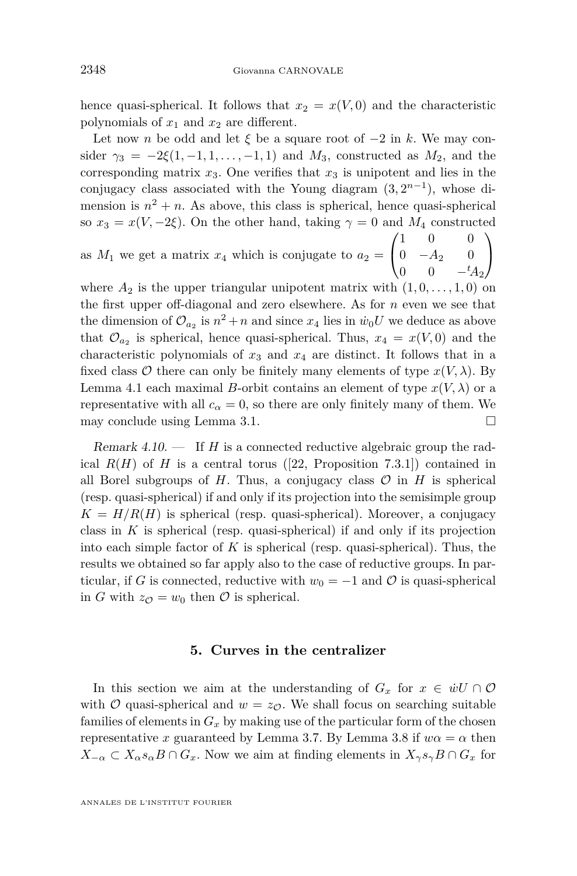<span id="page-20-0"></span>hence quasi-spherical. It follows that  $x_2 = x(V, 0)$  and the characteristic polynomials of  $x_1$  and  $x_2$  are different.

Let now *n* be odd and let  $\xi$  be a square root of  $-2$  in *k*. We may consider  $\gamma_3 = -2\xi(1, -1, 1, \ldots, -1, 1)$  and  $M_3$ , constructed as  $M_2$ , and the corresponding matrix  $x_3$ . One verifies that  $x_3$  is unipotent and lies in the conjugacy class associated with the Young diagram  $(3, 2^{n-1})$ , whose dimension is  $n^2 + n$ . As above, this class is spherical, hence quasi-spherical so  $x_3 = x(V, -2\xi)$ . On the other hand, taking  $\gamma = 0$  and  $M_4$  constructed  $\sqrt{ }$ 1 0 0  $\setminus$ 

as  $M_1$  we get a matrix  $x_4$  which is conjugate to  $a_2 =$  $\mathcal{L}$ 0 *−A*<sup>2</sup> 0 0 0 *−tA*<sup>2</sup>

 $\overline{1}$ 

where  $A_2$  is the upper triangular unipotent matrix with  $(1, 0, \ldots, 1, 0)$  on the first upper off-diagonal and zero elsewhere. As for *n* even we see that the dimension of  $\mathcal{O}_{a_2}$  is  $n^2 + n$  and since  $x_4$  lies in  $\dot{w}_0 U$  we deduce as above that  $\mathcal{O}_{a_2}$  is spherical, hence quasi-spherical. Thus,  $x_4 = x(V, 0)$  and the characteristic polynomials of  $x_3$  and  $x_4$  are distinct. It follows that in a fixed class  $\mathcal O$  there can only be finitely many elements of type  $x(V, \lambda)$ . By Lemma [4.1](#page-11-0) each maximal *B*-orbit contains an element of type  $x(V, \lambda)$  or a representative with all  $c_{\alpha} = 0$ , so there are only finitely many of them. We may conclude using Lemma [3.1.](#page-8-0)

Remark 4.10. — If *H* is a connected reductive algebraic group the radical  $R(H)$  of *H* is a central torus ([\[22,](#page-28-0) Proposition 7.3.1]) contained in all Borel subgroups of *H*. Thus, a conjugacy class  $\mathcal O$  in *H* is spherical (resp. quasi-spherical) if and only if its projection into the semisimple group  $K = H/R(H)$  is spherical (resp. quasi-spherical). Moreover, a conjugacy class in *K* is spherical (resp. quasi-spherical) if and only if its projection into each simple factor of  $K$  is spherical (resp. quasi-spherical). Thus, the results we obtained so far apply also to the case of reductive groups. In particular, if *G* is connected, reductive with  $w_0 = -1$  and  $\mathcal O$  is quasi-spherical in *G* with  $z_{\mathcal{O}} = w_0$  then  $\mathcal O$  is spherical.

#### **5. Curves in the centralizer**

In this section we aim at the understanding of  $G_x$  for  $x \in \dot{w}U \cap \mathcal{O}$ with  $\mathcal{O}$  quasi-spherical and  $w = z_{\mathcal{O}}$ . We shall focus on searching suitable families of elements in  $G_x$  by making use of the particular form of the chosen representative *x* guaranteed by Lemma [3.7.](#page-10-0) By Lemma [3.8](#page-10-0) if  $w\alpha = \alpha$  then  $X_{-\alpha} \subset X_{\alpha} s_{\alpha} B \cap G_x$ . Now we aim at finding elements in  $X_{\gamma} s_{\gamma} B \cap G_x$  for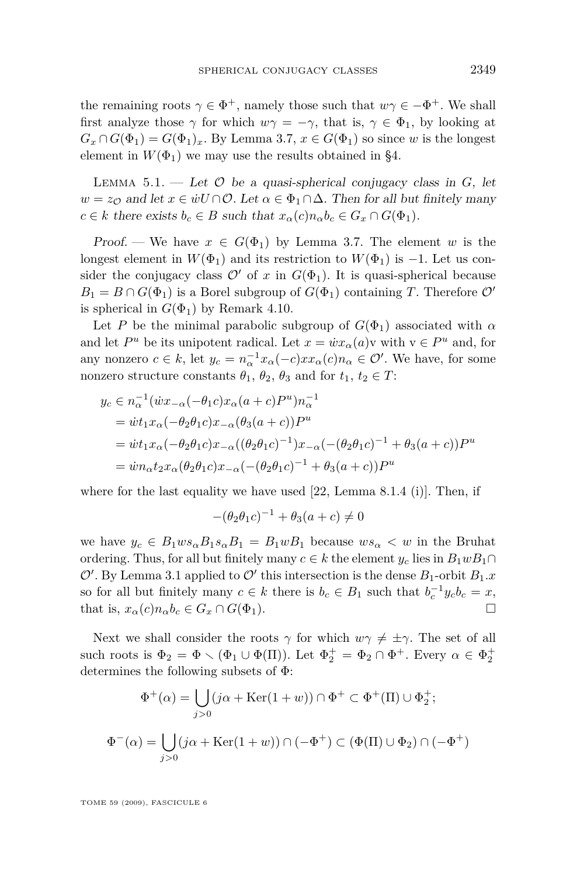<span id="page-21-0"></span>the remaining roots  $\gamma \in \Phi^+$ , namely those such that  $w\gamma \in -\Phi^+$ . We shall first analyze those  $\gamma$  for which  $w\gamma = -\gamma$ , that is,  $\gamma \in \Phi_1$ , by looking at  $G_x \cap G(\Phi_1) = G(\Phi_1)_x$ . By Lemma [3.7,](#page-10-0)  $x \in G(\Phi_1)$  so since *w* is the longest element in  $W(\Phi_1)$  we may use the results obtained in [§4.](#page-11-0)

LEMMA 5.1. — Let  $\mathcal O$  be a quasi-spherical conjugacy class in  $G$ , let  $w = z_0$  and let  $x \in \dot{w} \cup \cap \mathcal{O}$ . Let  $\alpha \in \Phi_1 \cap \Delta$ . Then for all but finitely many  $c \in k$  there exists  $b_c \in B$  such that  $x_\alpha(c)n_\alpha b_c \in G_x \cap G(\Phi_1)$ .

Proof. — We have  $x \in G(\Phi_1)$  by Lemma [3.7.](#page-10-0) The element *w* is the longest element in  $W(\Phi_1)$  and its restriction to  $W(\Phi_1)$  is *−*1. Let us consider the conjugacy class  $\mathcal{O}'$  of *x* in  $G(\Phi_1)$ . It is quasi-spherical because  $B_1 = B \cap G(\Phi_1)$  is a Borel subgroup of  $G(\Phi_1)$  containing *T*. Therefore  $\mathcal{O}'$ is spherical in  $G(\Phi_1)$  by Remark [4.10.](#page-20-0)

Let *P* be the minimal parabolic subgroup of  $G(\Phi_1)$  associated with  $\alpha$ and let  $P^u$  be its unipotent radical. Let  $x = \dot{w}x_\alpha(a)v$  with  $v \in P^u$  and, for any nonzero  $c \in k$ , let  $y_c = n_{\alpha}^{-1} x_{\alpha}(-c) x x_{\alpha}(c) n_{\alpha} \in \mathcal{O}'$ . We have, for some nonzero structure constants  $\theta_1$ ,  $\theta_2$ ,  $\theta_3$  and for  $t_1, t_2 \in T$ :

$$
y_c \in n_{\alpha}^{-1}(\dot{w}x_{-\alpha}(-\theta_1 c)x_{\alpha}(a+c)P^u)n_{\alpha}^{-1}
$$
  
=  $\dot{w}t_1x_{\alpha}(-\theta_2\theta_1 c)x_{-\alpha}(\theta_3(a+c))P^u$   
=  $\dot{w}t_1x_{\alpha}(-\theta_2\theta_1 c)x_{-\alpha}((\theta_2\theta_1 c)^{-1})x_{-\alpha}(-(\theta_2\theta_1 c)^{-1} + \theta_3(a+c))P^u$   
=  $\dot{w}n_{\alpha}t_2x_{\alpha}(\theta_2\theta_1 c)x_{-\alpha}(-(\theta_2\theta_1 c)^{-1} + \theta_3(a+c))P^u$ 

where for the last equality we have used  $[22, \text{Lemma } 8.1.4 \text{ (i)}].$  $[22, \text{Lemma } 8.1.4 \text{ (i)}].$  Then, if

$$
-(\theta_2 \theta_1 c)^{-1} + \theta_3(a+c) \neq 0
$$

we have  $y_c \in B_1 w s_\alpha B_1 s_\alpha B_1 = B_1 w B_1$  because  $w s_\alpha < w$  in the Bruhat ordering. Thus, for all but finitely many  $c \in k$  the element  $y_c$  lies in  $B_1 w B_1 \cap$  $\mathcal{O}'$ . By Lemma [3.1](#page-8-0) applied to  $\mathcal{O}'$  this intersection is the dense  $B_1$ -orbit  $B_1.x$ so for all but finitely many  $c \in k$  there is  $b_c \in B_1$  such that  $b_c^{-1}y_c b_c = x$ , that is,  $x_{\alpha}(c)n_{\alpha}b_{c} \in G_{x} \cap G(\Phi_{1}).$ 

Next we shall consider the roots  $\gamma$  for which  $w\gamma \neq \pm \gamma$ . The set of all such roots is  $\Phi_2 = \Phi \setminus (\Phi_1 \cup \Phi(\Pi))$ . Let  $\Phi_2^+ = \Phi_2 \cap \Phi^+$ . Every  $\alpha \in \Phi_2^+$ determines the following subsets of Φ:

$$
\Phi^+(\alpha) = \bigcup_{j>0} (j\alpha + \text{Ker}(1+w)) \cap \Phi^+ \subset \Phi^+(\Pi) \cup \Phi_2^+;
$$
  

$$
\Phi^-(\alpha) = \bigcup_{j>0} (j\alpha + \text{Ker}(1+w)) \cap (-\Phi^+) \subset (\Phi(\Pi) \cup \Phi_2) \cap (-\Phi^+)
$$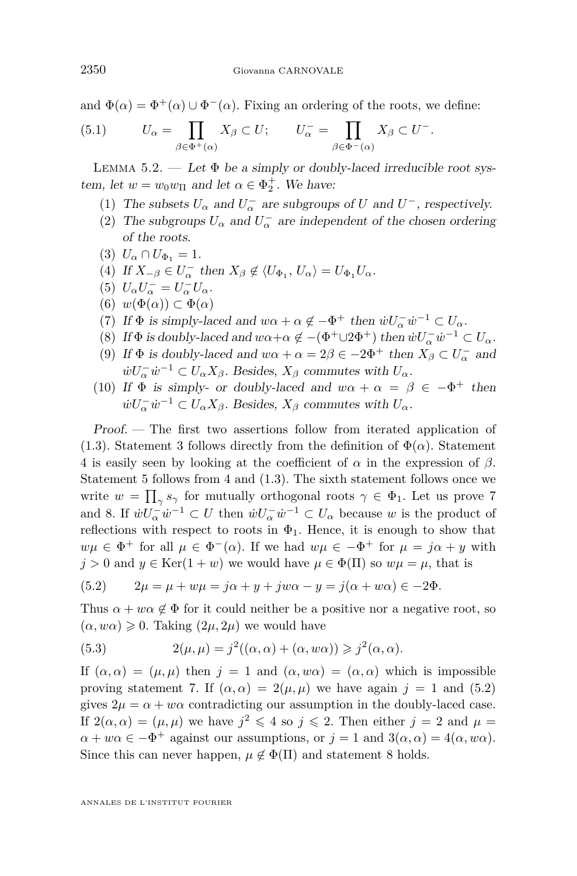<span id="page-22-0"></span>and  $\Phi(\alpha) = \Phi^+(\alpha) \cup \Phi^-(\alpha)$ . Fixing an ordering of the roots, we define:

(5.1) 
$$
U_{\alpha} = \prod_{\beta \in \Phi^+(\alpha)} X_{\beta} \subset U; \qquad U_{\alpha}^- = \prod_{\beta \in \Phi^-(\alpha)} X_{\beta} \subset U^-.
$$

LEMMA 5.2. — Let  $\Phi$  be a simply or doubly-laced irreducible root system, let  $w = w_0 w_{\Pi}$  and let  $\alpha \in \Phi_2^+$ . We have:

- (1) The subsets  $U_{\alpha}$  and  $U_{\alpha}^-$  are subgroups of  $U$  and  $U^-$ , respectively.
- (2) The subgroups  $U_{\alpha}$  and  $U_{\alpha}^-$  are independent of the chosen ordering of the roots.
- (3)  $U_{\alpha} \cap U_{\Phi_1} = 1.$
- $(4)$  If  $X_{-\beta} \in U_{\alpha}^-$  then  $X_{\beta} \notin \langle U_{\Phi_1}, U_{\alpha} \rangle = U_{\Phi_1} U_{\alpha}$ .
- (5)  $U_{\alpha}U_{\alpha}^{-} = U_{\alpha}^{-}U_{\alpha}$ .
- $(6)$   $w(\Phi(\alpha)) \subset \Phi(\alpha)$
- (7) If  $\Phi$  is simply-laced and  $w\alpha + \alpha \notin -\Phi^+$  then  $\dot{w}U_{\alpha}^- \dot{w}^{-1} \subset U_{\alpha}$ .
- (8) If  $\Phi$  is doubly-laced and  $w\alpha + \alpha \notin -(\Phi^+\cup 2\Phi^+)$  then  $\dot{w}U_{\alpha}^- \dot{w}^{-1} \subset U_{\alpha}$ .
- (9) If  $\Phi$  is doubly-laced and  $w\alpha + \alpha = 2\beta \in -2\Phi^+$  then  $X_\beta \subset U_\alpha^-$  and  $\dot{w}U_{\alpha}^{-}\dot{w}^{-1} \subset U_{\alpha}X_{\beta}$ . Besides,  $X_{\beta}$  commutes with  $U_{\alpha}$ .
- (10) If  $\Phi$  is simply- or doubly-laced and  $w\alpha + \alpha = \beta \in -\Phi^+$  then  $\dot{w}U_{\alpha}^{-}\dot{w}^{-1} \subset U_{\alpha}X_{\beta}$ . Besides,  $X_{\beta}$  commutes with  $U_{\alpha}$ .

Proof. — The first two assertions follow from iterated application of [\(1.3\)](#page-4-0). Statement 3 follows directly from the definition of  $\Phi(\alpha)$ . Statement 4 is easily seen by looking at the coefficient of *α* in the expression of *β*. Statement 5 follows from 4 and [\(1.3\)](#page-4-0). The sixth statement follows once we write  $w = \prod_{\gamma} s_{\gamma}$  for mutually orthogonal roots  $\gamma \in \Phi_1$ . Let us prove 7 and 8. If  $\dot{w}U_{\alpha}^{-}\dot{w}^{-1} \subset U$  then  $\dot{w}U_{\alpha}^{-}\dot{w}^{-1} \subset U_{\alpha}$  because *w* is the product of reflections with respect to roots in  $\Phi_1$ . Hence, it is enough to show that  $w\mu \in \Phi^+$  for all  $\mu \in \Phi^-(\alpha)$ . If we had  $w\mu \in -\Phi^+$  for  $\mu = j\alpha + y$  with  $j > 0$  and  $y \in \text{Ker}(1 + w)$  we would have  $\mu \in \Phi(\Pi)$  so  $w\mu = \mu$ , that is

(5.2) 
$$
2\mu = \mu + w\mu = j\alpha + y + jw\alpha - y = j(\alpha + w\alpha) \in -2\Phi.
$$

Thus  $\alpha + w\alpha \notin \Phi$  for it could neither be a positive nor a negative root, so  $(\alpha, w\alpha) \geq 0$ . Taking  $(2\mu, 2\mu)$  we would have

(5.3) 
$$
2(\mu, \mu) = j^2((\alpha, \alpha) + (\alpha, w\alpha)) \geq j^2(\alpha, \alpha).
$$

If  $(\alpha, \alpha) = (\mu, \mu)$  then  $j = 1$  and  $(\alpha, w\alpha) = (\alpha, \alpha)$  which is impossible proving statement 7. If  $(\alpha, \alpha) = 2(\mu, \mu)$  we have again  $j = 1$  and (5.2) gives  $2\mu = \alpha + w\alpha$  contradicting our assumption in the doubly-laced case. If  $2(\alpha, \alpha) = (\mu, \mu)$  we have  $j^2 \leq 4$  so  $j \leq 2$ . Then either  $j = 2$  and  $\mu =$  $\alpha + w\alpha \in -\Phi^+$  against our assumptions, or  $j = 1$  and  $3(\alpha, \alpha) = 4(\alpha, w\alpha)$ . Since this can never happen,  $\mu \notin \Phi(\Pi)$  and statement 8 holds.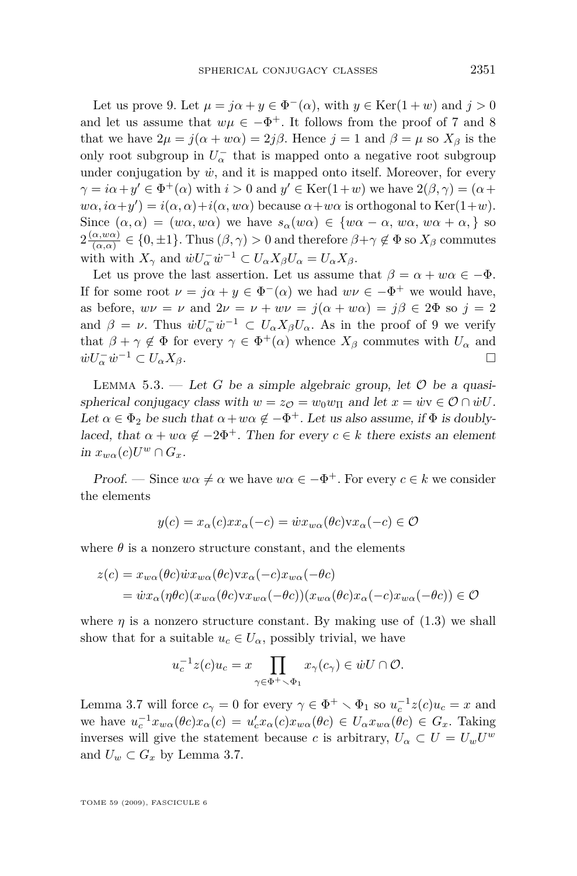<span id="page-23-0"></span>Let us prove 9. Let  $\mu = j\alpha + y \in \Phi^{-}(\alpha)$ , with  $y \in \text{Ker}(1+w)$  and  $j > 0$ and let us assume that  $w\mu \in -\Phi^+$ . It follows from the proof of 7 and 8 that we have  $2\mu = j(\alpha + w\alpha) = 2j\beta$ . Hence  $j = 1$  and  $\beta = \mu$  so  $X_{\beta}$  is the only root subgroup in  $U_\alpha^-$  that is mapped onto a negative root subgroup under conjugation by  $\dot{w}$ , and it is mapped onto itself. Moreover, for every  $\gamma = i\alpha + y' \in \Phi^+(\alpha)$  with  $i > 0$  and  $y' \in \text{Ker}(1+w)$  we have  $2(\beta, \gamma) = (\alpha + y')$  $w\alpha$ ,  $i\alpha + y'$ ) =  $i(\alpha, \alpha) + i(\alpha, w\alpha)$  because  $\alpha + w\alpha$  is orthogonal to Ker(1+*w*). Since  $(\alpha, \alpha) = (w\alpha, w\alpha)$  we have  $s_\alpha(w\alpha) \in \{w\alpha - \alpha, w\alpha, w\alpha + \alpha, \}$  so  $2\frac{(\alpha,w\alpha)}{(\alpha,\alpha)}$  $\frac{\alpha, w(\alpha)}{(\alpha, \alpha)} \in \{0, \pm 1\}$ . Thus  $(\beta, \gamma) > 0$  and therefore  $\beta + \gamma \notin \Phi$  so  $X_{\beta}$  commutes with with  $X_{\gamma}$  and  $\dot{w}U_{\alpha}^{-}\dot{w}^{-1} \subset U_{\alpha}X_{\beta}U_{\alpha} = U_{\alpha}X_{\beta}$ .

Let us prove the last assertion. Let us assume that  $\beta = \alpha + w\alpha \in -\Phi$ . If for some root  $\nu = j\alpha + y \in \Phi^{-}(\alpha)$  we had  $w\nu \in -\Phi^{+}$  we would have, as before,  $w\nu = \nu$  and  $2\nu = \nu + w\nu = j(\alpha + w\alpha) = j\beta \in 2\Phi$  so  $j = 2$ and  $\beta = \nu$ . Thus  $\dot{w}U_{\alpha}^{-}\dot{w}^{-1} \subset U_{\alpha}X_{\beta}U_{\alpha}$ . As in the proof of 9 we verify that  $\beta + \gamma \notin \Phi$  for every  $\gamma \in \Phi^+(\alpha)$  whence  $X_\beta$  commutes with  $U_\alpha$  and  $\omega U_{\alpha}^{-} \omega^{-1} \subset U_{\alpha} X_{\beta}.$ 

LEMMA 5.3. — Let *G* be a simple algebraic group, let  $\mathcal O$  be a quasispherical conjugacy class with  $w = z_{\mathcal{O}} = w_0 w_{\Pi}$  and let  $x = \dot{w}v \in \mathcal{O} \cap \dot{w}U$ . Let  $\alpha \in \Phi_2$  be such that  $\alpha + w\alpha \notin -\Phi^+$ . Let us also assume, if  $\Phi$  is doublylaced, that  $\alpha + w\alpha \notin -2\Phi^+$ . Then for every  $c \in k$  there exists an element  $\lim x_{w\alpha}(c)U^w \cap G_x.$ 

Proof. — Since  $w\alpha \neq \alpha$  we have  $w\alpha \in -\Phi^+$ . For every  $c \in k$  we consider the elements

$$
y(c) = x_{\alpha}(c)x x_{\alpha}(-c) = \dot{w} x_{w\alpha}(\theta c) v x_{\alpha}(-c) \in \mathcal{O}
$$

where  $\theta$  is a nonzero structure constant, and the elements

$$
z(c) = x_{w\alpha}(\theta c)\dot{w}x_{w\alpha}(\theta c)v x_{\alpha}(-c)x_{w\alpha}(-\theta c)
$$
  
=  $\dot{w}x_{\alpha}(\eta \theta c)(x_{w\alpha}(\theta c)v x_{w\alpha}(-\theta c))(x_{w\alpha}(\theta c)x_{\alpha}(-c)x_{w\alpha}(-\theta c)) \in \mathcal{O}$ 

where  $\eta$  is a nonzero structure constant. By making use of  $(1.3)$  we shall show that for a suitable  $u_c \in U_\alpha$ , possibly trivial, we have

$$
u_c^{-1}z(c)u_c = x \prod_{\gamma \in \Phi^+ \smallsetminus \Phi_1} x_\gamma(c_\gamma) \in \dot{w}U \cap \mathcal{O}.
$$

Lemma [3.7](#page-10-0) will force  $c_{\gamma} = 0$  for every  $\gamma \in \Phi^+ \setminus \Phi_1$  so  $u_c^{-1}z(c)u_c = x$  and we have  $u_c^{-1}x_{w\alpha}(\theta c)x_{\alpha}(c) = u'_c x_{\alpha}(c)x_{w\alpha}(\theta c) \in U_{\alpha}x_{w\alpha}(\theta c) \in G_x$ . Taking inverses will give the statement because *c* is arbitrary,  $U_{\alpha} \subset U = U_{w}U^{w}$ and  $U_w \subset G_x$  by Lemma [3.7.](#page-10-0)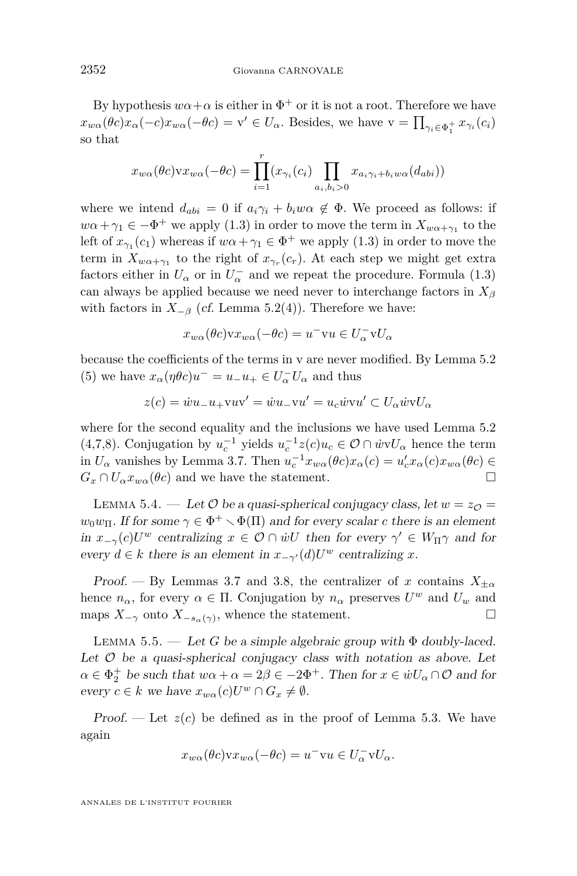<span id="page-24-0"></span>By hypothesis  $w\alpha + \alpha$  is either in  $\Phi^+$  or it is not a root. Therefore we have  $x_{w\alpha}(\theta c)x_{\alpha}(-c)x_{w\alpha}(-\theta c) = \mathbf{v}' \in U_{\alpha}$ . Besides, we have  $\mathbf{v} = \prod_{\gamma_i \in \Phi_1^+} x_{\gamma_i}(c_i)$ so that

$$
x_{w\alpha}(\theta c) \mathbf{v} x_{w\alpha}(-\theta c) = \prod_{i=1}^r (x_{\gamma_i}(c_i) \prod_{a_i, b_i > 0} x_{a_i \gamma_i + b_i w \alpha}(d_{abi}))
$$

where we intend  $d_{abi} = 0$  if  $a_i \gamma_i + b_i w \alpha \notin \Phi$ . We proceed as follows: if  $w\alpha + \gamma_1 \in -\Phi^+$  we apply [\(1.3\)](#page-4-0) in order to move the term in  $X_{w\alpha + \gamma_1}$  to the left of  $x_{\gamma_1}(c_1)$  whereas if  $w\alpha + \gamma_1 \in \Phi^+$  we apply [\(1.3\)](#page-4-0) in order to move the term in  $X_{w\alpha+\gamma_1}$  to the right of  $x_{\gamma_r}(c_r)$ . At each step we might get extra factors either in  $U_{\alpha}$  or in  $U_{\alpha}^-$  and we repeat the procedure. Formula [\(1.3\)](#page-4-0) can always be applied because we need never to interchange factors in *X<sup>β</sup>* with factors in  $X_{-\beta}$  (cf. Lemma [5.2\(](#page-22-0)4)). Therefore we have:

$$
x_{w\alpha}(\theta c) \mathbf{v} x_{w\alpha}(-\theta c) = u^- \mathbf{v} u \in U^-_{\alpha} \mathbf{v} U_{\alpha}
$$

because the coefficients of the terms in v are never modified. By Lemma [5.2](#page-22-0) (5) we have  $x_{\alpha}(\eta \theta c)u^{-} = u_{-}u_{+} \in U_{\alpha}^{-}U_{\alpha}$  and thus

$$
z(c) = \dot{w}u_{-}u_{+}vw' = \dot{w}u_{-}vu' = u_{c}\dot{w}vu' \subset U_{\alpha}\dot{w}vU_{\alpha}
$$

where for the second equality and the inclusions we have used Lemma [5.2](#page-22-0) (4,7,8). Conjugation by  $u_c^{-1}$  yields  $u_c^{-1}z(c)u_c \in \mathcal{O} \cap \dot{w}vU_\alpha$  hence the term in  $U_{\alpha}$  vanishes by Lemma [3.7.](#page-10-0) Then  $u_c^{-1}x_{w\alpha}(\theta c)x_{\alpha}(c) = u'_c x_{\alpha}(c)x_{w\alpha}(\theta c) \in$  $G_x \cap U_\alpha x_{w\alpha}(\theta c)$  and we have the statement.

LEMMA 5.4. — Let  $\mathcal O$  be a quasi-spherical conjugacy class, let  $w = z_{\mathcal O} =$  $w_0w_{\Pi}$ . If for some  $\gamma \in \Phi^+ \setminus \Phi(\Pi)$  and for every scalar *c* there is an element in  $x_{-\gamma}(c)U^w$  centralizing  $x \in \mathcal{O} \cap \dot{w}U$  then for every  $\gamma' \in W_{\Pi} \gamma$  and for every  $d \in k$  there is an element in  $x_{-\gamma'}(d)U^w$  centralizing  $x$ .

Proof. — By Lemmas [3.7](#page-10-0) and [3.8,](#page-10-0) the centralizer of *x* contains  $X_{\pm\alpha}$ hence  $n_{\alpha}$ , for every  $\alpha \in \Pi$ . Conjugation by  $n_{\alpha}$  preserves  $U^w$  and  $U_w$  and maps  $X_{-\gamma}$  onto  $X_{-s_{\alpha}(\gamma)}$ , whence the statement.

LEMMA 5.5. — Let *G* be a simple algebraic group with  $\Phi$  doubly-laced. Let  $O$  be a quasi-spherical conjugacy class with notation as above. Let  $\alpha \in \Phi_2^+$  be such that  $w\alpha + \alpha = 2\beta \in -2\Phi^+$ . Then for  $x \in \dot{w}U_\alpha \cap \mathcal{O}$  and for  $e \text{very } c \in k \text{ we have } x_{w\alpha}(c)U^w \cap G_x \neq \emptyset.$ 

Proof. — Let  $z(c)$  be defined as in the proof of Lemma [5.3.](#page-23-0) We have again

$$
x_{w\alpha}(\theta c) \mathbf{v} x_{w\alpha}(-\theta c) = u^- \mathbf{v} u \in U^-_\alpha \mathbf{v} U_\alpha.
$$

ANNALES DE L'INSTITUT FOURIER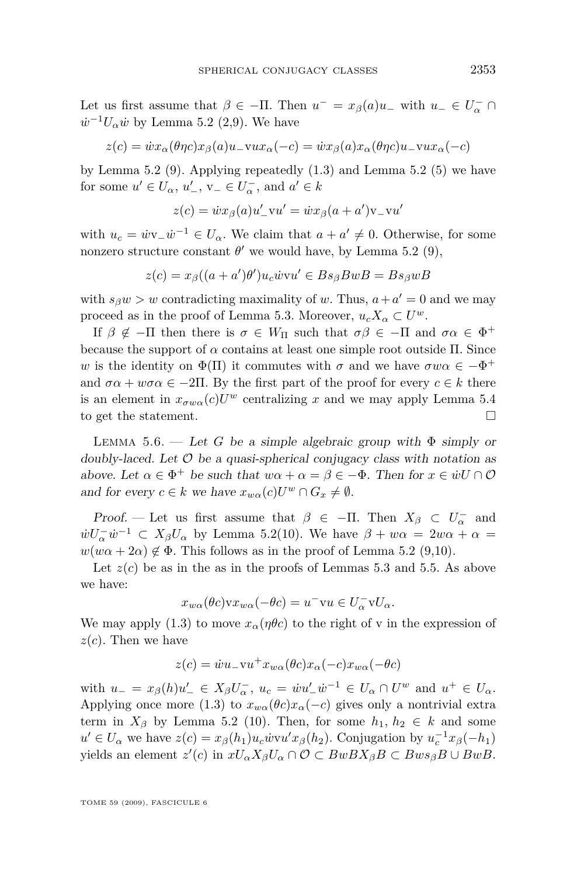<span id="page-25-0"></span>Let us first assume that  $\beta \in -\Pi$ . Then  $u^- = x_\beta(a)u^-$  with  $u^- \in U^-_\alpha \cap$  $\dot{w}^{-1}U_{\alpha}\dot{w}$  by Lemma [5.2](#page-22-0) (2,9). We have

$$
z(c) = \dot{w}x_{\alpha}(\theta\eta c)x_{\beta}(a)u_{-\mathbf{v}}ux_{\alpha}(-c) = \dot{w}x_{\beta}(a)x_{\alpha}(\theta\eta c)u_{-\mathbf{v}}ux_{\alpha}(-c)
$$

by Lemma [5.2](#page-22-0) (9). Applying repeatedly [\(1.3\)](#page-4-0) and Lemma [5.2](#page-22-0) (5) we have for some  $u' \in U_\alpha$ ,  $u'_{-}$ ,  $v_{-} \in U_\alpha^{-}$ , and  $a' \in k$ 

$$
z(c) = \dot{w}x_{\beta}(a)u'_{-}vu' = \dot{w}x_{\beta}(a+a')v_{-}vu'
$$

with  $u_c = \dot{w}v_-\dot{w}^{-1} \in U_\alpha$ . We claim that  $a + a' \neq 0$ . Otherwise, for some nonzero structure constant  $\theta'$  we would have, by Lemma [5.2](#page-22-0) (9),

$$
z(c) = x_{\beta}((a+a')\theta')u_c\dot{w}vu' \in Bs_{\beta}BwB = Bs_{\beta}wB
$$

with  $s_{\beta}w > w$  contradicting maximality of *w*. Thus,  $a + a' = 0$  and we may proceed as in the proof of Lemma [5.3.](#page-23-0) Moreover,  $u_c X_\alpha \subset U^\omega$ .

If  $\beta \notin -\Pi$  then there is  $\sigma \in W_{\Pi}$  such that  $\sigma\beta \in -\Pi$  and  $\sigma\alpha \in \Phi^+$ because the support of  $\alpha$  contains at least one simple root outside  $\Pi$ . Since *w* is the identity on  $\Phi(\Pi)$  it commutes with  $\sigma$  and we have  $\sigma w\alpha \in -\Phi^+$ and  $\sigma \alpha + w \sigma \alpha \in -2\Pi$ . By the first part of the proof for every  $c \in k$  there is an element in  $x_{\sigma w\alpha}(c)U^w$  centralizing *x* and we may apply Lemma [5.4](#page-24-0) to get the statement.

LEMMA 5.6. — Let *G* be a simple algebraic group with  $\Phi$  simply or doubly-laced. Let  $O$  be a quasi-spherical conjugacy class with notation as above. Let  $\alpha \in \Phi^+$  be such that  $w\alpha + \alpha = \beta \in -\Phi$ . Then for  $x \in \dot{w}$   $\Box \mathcal{O}$ and for every  $c \in k$  we have  $x_{w\alpha}(c)U^w \cap G_x \neq \emptyset$ .

Proof. — Let us first assume that  $\beta \in -\Pi$ . Then  $X_{\beta} \subset U_{\alpha}^-$  and  $\dot{w}U_{\alpha}^{-}\dot{w}^{-1} \subset X_{\beta}U_{\alpha}$  by Lemma [5.2\(](#page-22-0)10). We have  $\beta + w\alpha = 2w\alpha + \alpha =$  $w(w\alpha + 2\alpha) \notin \Phi$ . This follows as in the proof of Lemma [5.2](#page-22-0) (9,10).

Let  $z(c)$  be as in the as in the proofs of Lemmas [5.3](#page-23-0) and [5.5.](#page-24-0) As above we have:

$$
x_{w\alpha}(\theta c) \mathbf{v} x_{w\alpha}(-\theta c) = u^- \mathbf{v} u \in U^-_{\alpha} \mathbf{v} U_{\alpha}.
$$

We may apply [\(1.3\)](#page-4-0) to move  $x_\alpha(\eta\theta c)$  to the right of v in the expression of *z*(*c*). Then we have

$$
z(c) = \dot{w}u_{-}vu^{+}x_{w\alpha}(\theta c)x_{\alpha}(-c)x_{w\alpha}(-\theta c)
$$

with  $u_{-} = x_{\beta}(h)u'_{-} \in X_{\beta}U_{\alpha}^{-}$ ,  $u_{c} = \dot{w}u'_{-}\dot{w}^{-1} \in U_{\alpha} \cap U^{w}$  and  $u^{+} \in U_{\alpha}$ . Applying once more [\(1.3\)](#page-4-0) to  $x_{w\alpha}(\theta c)x_{\alpha}(-c)$  gives only a nontrivial extra term in  $X_\beta$  by Lemma [5.2](#page-22-0) (10). Then, for some  $h_1, h_2 \in k$  and some  $u' \in U_{\alpha}$  we have  $z(c) = x_{\beta}(h_1)u_c \dot{w}v u'x_{\beta}(h_2)$ . Conjugation by  $u_c^{-1}x_{\beta}(-h_1)$  $y$ ields an element  $z'(c)$  in  $xU_{\alpha}X_{\beta}U_{\alpha}\cap\mathcal{O}\subset BwBX_{\beta}B\subset Bws_{\beta}B\cup BwB$ .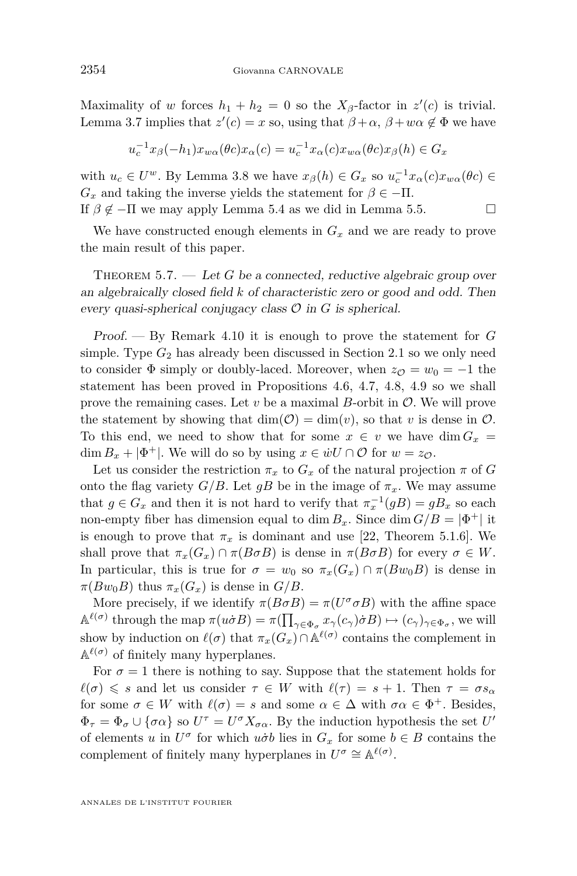<span id="page-26-0"></span>Maximality of *w* forces  $h_1 + h_2 = 0$  so the  $X_\beta$ -factor in  $z'(c)$  is trivial. Lemma [3.7](#page-10-0) implies that  $z'(c) = x$  so, using that  $\beta + \alpha$ ,  $\beta + w\alpha \notin \Phi$  we have

$$
u_c^{-1}x_{\beta}(-h_1)x_{w\alpha}(\theta c)x_{\alpha}(c) = u_c^{-1}x_{\alpha}(c)x_{w\alpha}(\theta c)x_{\beta}(h) \in G_x
$$

with  $u_c \in U^w$ . By Lemma [3.8](#page-10-0) we have  $x_\beta(h) \in G_x$  so  $u_c^{-1}x_\alpha(c)x_{w\alpha}(\theta_c) \in$  $G_x$  and taking the inverse yields the statement for  $\beta \in -\Pi$ . If  $\beta \notin -\Pi$  we may apply Lemma [5.4](#page-24-0) as we did in Lemma [5.5.](#page-24-0)

We have constructed enough elements in  $G_x$  and we are ready to prove the main result of this paper.

THEOREM 5.7. — Let G be a connected, reductive algebraic group over an algebraically closed field *k* of characteristic zero or good and odd. Then every quasi-spherical conjugacy class  $\mathcal O$  in  $G$  is spherical.

Proof. — By Remark [4.10](#page-20-0) it is enough to prove the statement for *G* simple. Type  $G_2$  has already been discussed in Section [2.1](#page-5-0) so we only need to consider  $\Phi$  simply or doubly-laced. Moreover, when  $z_{\mathcal{O}} = w_0 = -1$  the statement has been proved in Propositions [4.6,](#page-16-0) [4.7,](#page-16-0) [4.8,](#page-16-0) [4.9](#page-17-0) so we shall prove the remaining cases. Let  $v$  be a maximal  $B$ -orbit in  $\mathcal{O}$ . We will prove the statement by showing that  $\dim(\mathcal{O}) = \dim(v)$ , so that *v* is dense in  $\mathcal{O}$ . To this end, we need to show that for some  $x \in v$  we have dim  $G_x$ dim  $B_x + |\Phi^+|$ . We will do so by using  $x \in \dot{w}U \cap \mathcal{O}$  for  $w = z_{\mathcal{O}}$ .

Let us consider the restriction  $\pi_x$  to  $G_x$  of the natural projection  $\pi$  of  $G$ onto the flag variety *G/B*. Let *gB* be in the image of  $\pi_x$ . We may assume that  $g \in G_x$  and then it is not hard to verify that  $\pi_x^{-1}(gB) = gB_x$  so each non-empty fiber has dimension equal to dim  $B_x$ . Since dim  $G/B = |\Phi^+|$  it is enough to prove that  $\pi_x$  is dominant and use [\[22,](#page-28-0) Theorem 5.1.6]. We shall prove that  $\pi_x(G_x) \cap \pi(B \sigma B)$  is dense in  $\pi(B \sigma B)$  for every  $\sigma \in W$ . In particular, this is true for  $\sigma = w_0$  so  $\pi_x(G_x) \cap \pi(Bw_0B)$  is dense in  $\pi(Bw_0B)$  thus  $\pi_x(G_x)$  is dense in  $G/B$ .

More precisely, if we identify  $\pi(B \sigma B) = \pi(U^{\sigma} \sigma B)$  with the affine space  $\mathbb{A}^{\ell(\sigma)}$  through the map  $\pi(u\dot{\sigma}B) = \pi(\prod_{\gamma \in \Phi_{\sigma}} x_{\gamma}(c_{\gamma})\dot{\sigma}B) \mapsto (c_{\gamma})_{\gamma \in \Phi_{\sigma}}$ , we will show by induction on  $\ell(\sigma)$  that  $\pi_x(G_x) \cap \mathbb{A}^{\ell(\sigma)}$  contains the complement in  $A^{\ell(\sigma)}$  of finitely many hyperplanes.

For  $\sigma = 1$  there is nothing to say. Suppose that the statement holds for  $\ell(\sigma) \leq s$  and let us consider  $\tau \in W$  with  $\ell(\tau) = s + 1$ . Then  $\tau = \sigma s_{\alpha}$ for some  $\sigma \in W$  with  $\ell(\sigma) = s$  and some  $\alpha \in \Delta$  with  $\sigma \alpha \in \Phi^+$ . Besides,  $\Phi_{\tau} = \Phi_{\sigma} \cup \{\sigma \alpha\}$  so  $U^{\tau} = U^{\sigma} X_{\sigma \alpha}$ . By the induction hypothesis the set  $U'$ of elements *u* in  $U^{\sigma}$  for which  $u \dot{\sigma} b$  lies in  $G_x$  for some  $b \in B$  contains the complement of finitely many hyperplanes in  $U^{\sigma} \cong \mathbb{A}^{\ell(\sigma)}$ .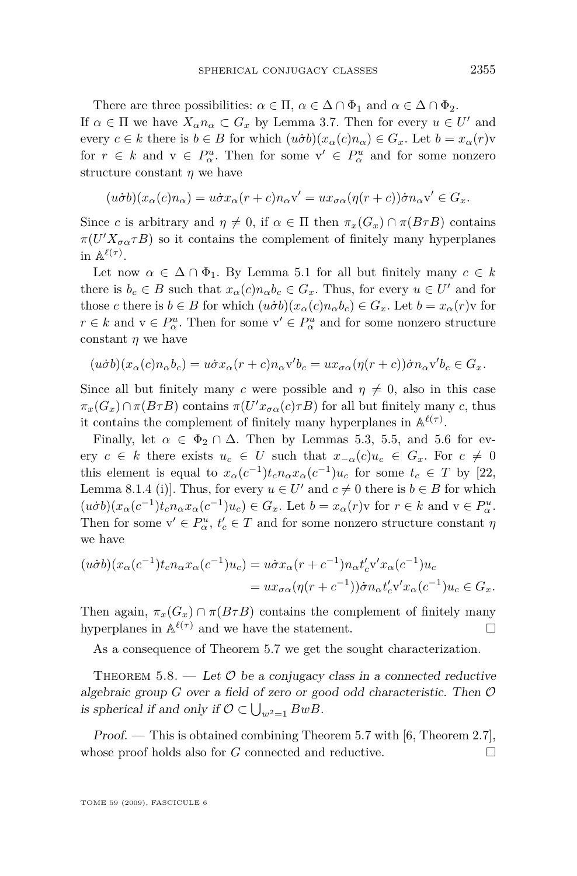There are three possibilities:  $\alpha \in \Pi$ ,  $\alpha \in \Delta \cap \Phi_1$  and  $\alpha \in \Delta \cap \Phi_2$ . If  $\alpha \in \Pi$  we have  $X_{\alpha}n_{\alpha} \subset G_x$  by Lemma [3.7.](#page-10-0) Then for every  $u \in U'$  and every  $c \in k$  there is  $b \in B$  for which  $(u \dot{\sigma} b)(x_\alpha(c)n_\alpha) \in G_x$ . Let  $b = x_\alpha(r)v$ for  $r \in k$  and  $v \in P^u_\alpha$ . Then for some  $v' \in P^u_\alpha$  and for some nonzero structure constant *η* we have

$$
(u\dot{\sigma}b)(x_{\alpha}(c)n_{\alpha}) = u\dot{\sigma}x_{\alpha}(r+c)n_{\alpha}v' = ux_{\sigma\alpha}(\eta(r+c))\dot{\sigma}n_{\alpha}v' \in G_x.
$$

Since *c* is arbitrary and  $\eta \neq 0$ , if  $\alpha \in \Pi$  then  $\pi_x(G_x) \cap \pi(B \tau B)$  contains  $\pi(U'X_{\sigma\alpha}\tau B)$  so it contains the complement of finitely many hyperplanes in  $\mathbb{A}^{\ell(\tau)}$ .

Let now  $\alpha \in \Delta \cap \Phi_1$ . By Lemma [5.1](#page-21-0) for all but finitely many  $c \in k$ there is  $b_c \in B$  such that  $x_\alpha(c)n_\alpha b_c \in G_x$ . Thus, for every  $u \in U'$  and for those *c* there is  $b \in B$  for which  $(u \dot{\sigma} b)(x_\alpha(c) n_\alpha b_c) \in G_x$ . Let  $b = x_\alpha(r)v$  for  $r \in k$  and  $v \in P^u_\alpha$ . Then for some  $v' \in P^u_\alpha$  and for some nonzero structure constant *η* we have

$$
(u\dot{\sigma}b)(x_{\alpha}(c)n_{\alpha}b_c)=u\dot{\sigma}x_{\alpha}(r+c)n_{\alpha}\textbf{v}'b_c=ux_{\sigma\alpha}(\eta(r+c))\dot{\sigma}n_{\alpha}\textbf{v}'b_c\in G_x.
$$

Since all but finitely many *c* were possible and  $\eta \neq 0$ , also in this case  $\pi_x(G_x) \cap \pi(B \tau B)$  contains  $\pi(U'x_{\sigma \alpha}(c) \tau B)$  for all but finitely many *c*, thus it contains the complement of finitely many hyperplanes in  $\mathbb{A}^{\ell(\tau)}$ .

Finally, let  $\alpha \in \Phi_2 \cap \Delta$ . Then by Lemmas [5.3,](#page-23-0) [5.5,](#page-24-0) and [5.6](#page-25-0) for every *c* ∈ *k* there exists  $u_c$  ∈ *U* such that  $x_{-\alpha}(c)u_c$  ∈  $G_x$ . For  $c \neq 0$ this element is equal to  $x_\alpha(c^{-1})t_c n_\alpha x_\alpha(c^{-1})u_c$  for some  $t_c \in T$  by [\[22,](#page-28-0) Lemma 8.1.4 (i)]. Thus, for every  $u \in U'$  and  $c \neq 0$  there is  $b \in B$  for which  $(u\dot{\sigma}b)(x_{\alpha}(c^{-1})t_c n_{\alpha}x_{\alpha}(c^{-1})u_c) \in G_x$ . Let  $b = x_{\alpha}(r)v$  for  $r \in k$  and  $v \in P_{\alpha}^u$ . Then for some  $v' \in P^u_\alpha$ ,  $t'_c \in T$  and for some nonzero structure constant  $\eta$ we have

$$
(u\dot{\sigma}b)(x_{\alpha}(c^{-1})t_{c}n_{\alpha}x_{\alpha}(c^{-1})u_{c}) = u\dot{\sigma}x_{\alpha}(r+c^{-1})n_{\alpha}t'_{c}v'x_{\alpha}(c^{-1})u_{c}
$$
  
=  $ux_{\sigma\alpha}(\eta(r+c^{-1}))\dot{\sigma}n_{\alpha}t'_{c}v'x_{\alpha}(c^{-1})u_{c} \in G_{x}.$ 

Then again,  $\pi_x(G_x) \cap \pi(B \tau B)$  contains the complement of finitely many hyperplanes in  $\mathbb{A}^{\ell(\tau)}$  and we have the statement.

As a consequence of Theorem [5.7](#page-26-0) we get the sought characterization.

THEOREM 5.8. — Let  $\mathcal O$  be a conjugacy class in a connected reductive algebraic group *G* over a field of zero or good odd characteristic. Then *O* is spherical if and only if  $\mathcal{O} \subset \bigcup_{w^2=1} BwB$ .

*Proof.* — This is obtained combining Theorem [5.7](#page-26-0) with [\[6,](#page-28-0) Theorem 2.7], whose proof holds also for  $G$  connected and reductive.  $\Box$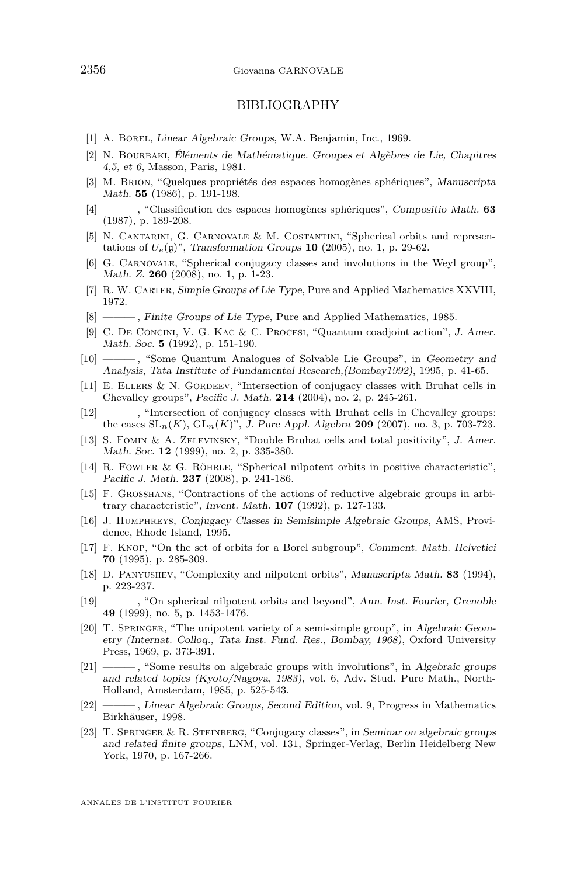#### BIBLIOGRAPHY

- <span id="page-28-0"></span>[1] A. BOREL, Linear Algebraic Groups, W.A. Benjamin, Inc., 1969.
- [2] N. Bourbaki, Éléments de Mathématique. Groupes et Algèbres de Lie, Chapitres 4,5, et 6, Masson, Paris, 1981.
- [3] M. Brion, "Quelques propriétés des espaces homogènes sphériques", Manuscripta Math. **55** (1986), p. 191-198.
- [4] ——— , "Classification des espaces homogènes sphériques", Compositio Math. **63** (1987), p. 189-208.
- [5] N. Cantarini, G. Carnovale & M. Costantini, "Spherical orbits and representations of  $U_e(\mathfrak{g})$ ", Transformation Groups **10** (2005), no. 1, p. 29-62.
- [6] G. Carnovale, "Spherical conjugacy classes and involutions in the Weyl group", Math. Z. **260** (2008), no. 1, p. 1-23.
- [7] R. W. CARTER, Simple Groups of Lie Type, Pure and Applied Mathematics XXVIII, 1972.
- [8] ———, Finite Groups of Lie Type, Pure and Applied Mathematics, 1985.
- [9] C. De Concini, V. G. Kac & C. Procesi, "Quantum coadjoint action", J. Amer. Math. Soc. **5** (1992), p. 151-190.
- [10] ——— , "Some Quantum Analogues of Solvable Lie Groups", in Geometry and Analysis, Tata Institute of Fundamental Research,(Bombay1992), 1995, p. 41-65.
- [11] E. ELLERS & N. GORDEEV, "Intersection of conjugacy classes with Bruhat cells in Chevalley groups", Pacific J. Math. **214** (2004), no. 2, p. 245-261.
- [12] ——, "Intersection of conjugacy classes with Bruhat cells in Chevalley groups: the cases  $SL_n(K)$ ,  $GL_n(K)$ ", J. Pure Appl. Algebra **209** (2007), no. 3, p. 703-723.
- [13] S. Fomin & A. Zelevinsky, "Double Bruhat cells and total positivity", J. Amer. Math. Soc. **12** (1999), no. 2, p. 335-380.
- [14] R. Fowler & G. Röhrle, "Spherical nilpotent orbits in positive characteristic", Pacific J. Math. **237** (2008), p. 241-186.
- [15] F. Grosshans, "Contractions of the actions of reductive algebraic groups in arbitrary characteristic", Invent. Math. **107** (1992), p. 127-133.
- [16] J. Humphreys, Conjugacy Classes in Semisimple Algebraic Groups, AMS, Providence, Rhode Island, 1995.
- [17] F. Knop, "On the set of orbits for a Borel subgroup", Comment. Math. Helvetici **70** (1995), p. 285-309.
- [18] D. Panyushev, "Complexity and nilpotent orbits", Manuscripta Math. **83** (1994), p. 223-237.
- [19] ——— , "On spherical nilpotent orbits and beyond", Ann. Inst. Fourier, Grenoble **49** (1999), no. 5, p. 1453-1476.
- [20] T. SPRINGER, "The unipotent variety of a semi-simple group", in Algebraic Geometry (Internat. Colloq., Tata Inst. Fund. Res., Bombay, 1968), Oxford University Press, 1969, p. 373-391.
- [21] ——— , "Some results on algebraic groups with involutions", in Algebraic groups and related topics (Kyoto/Nagoya, 1983), vol. 6, Adv. Stud. Pure Math., North-Holland, Amsterdam, 1985, p. 525-543.
- [22] ——— , Linear Algebraic Groups, Second Edition, vol. 9, Progress in Mathematics Birkhäuser, 1998.
- [23] T. Springer & R. Steinberg, "Conjugacy classes", in Seminar on algebraic groups and related finite groups, LNM, vol. 131, Springer-Verlag, Berlin Heidelberg New York, 1970, p. 167-266.